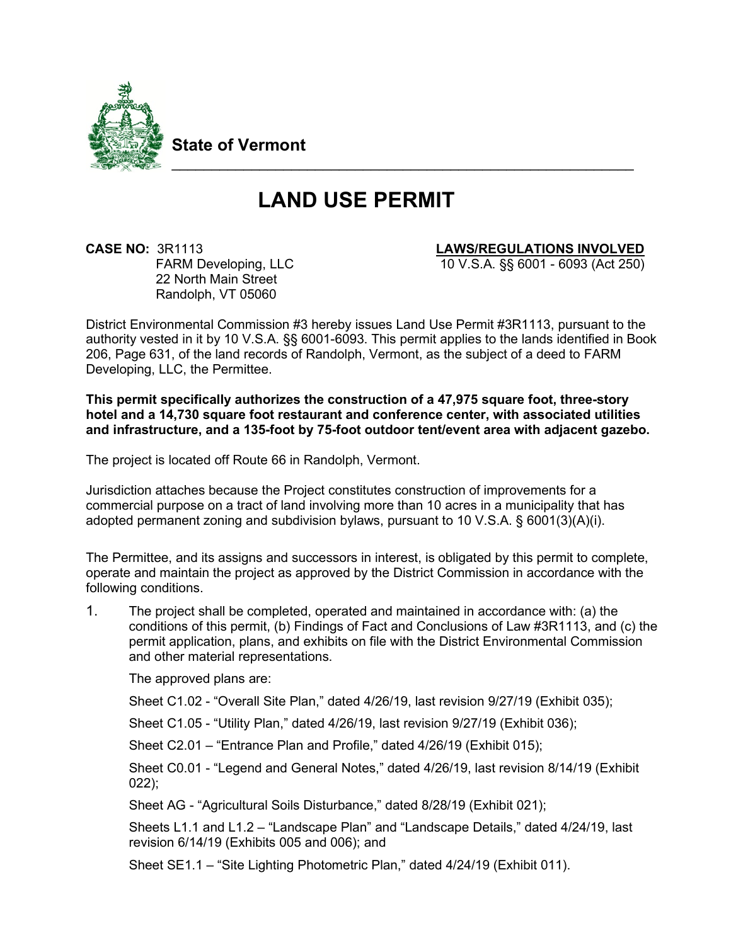

**State of Vermont**

# **LAND USE PERMIT**

\_\_\_\_\_\_\_\_\_\_\_\_\_\_\_\_\_\_\_\_\_\_\_\_\_\_\_\_\_\_\_\_\_\_\_\_\_\_\_\_\_\_\_\_\_\_\_\_\_\_\_\_\_\_\_\_\_\_

**CASE NO:** 3R1113 **LAWS/REGULATIONS INVOLVED**<br>FARM Developing. LLC 10 V.S.A. §§ 6001 - 6093 (Act 250) 22 North Main Street Randolph, VT 05060

10 V.S.A. §§ 6001 - 6093 (Act 250)

District Environmental Commission #3 hereby issues Land Use Permit #3R1113, pursuant to the authority vested in it by 10 V.S.A. §§ 6001-6093. This permit applies to the lands identified in Book 206, Page 631, of the land records of Randolph, Vermont, as the subject of a deed to FARM Developing, LLC, the Permittee.

**This permit specifically authorizes the construction of a 47,975 square foot, three-story hotel and a 14,730 square foot restaurant and conference center, with associated utilities and infrastructure, and a 135-foot by 75-foot outdoor tent/event area with adjacent gazebo.**

The project is located off Route 66 in Randolph, Vermont.

Jurisdiction attaches because the Project constitutes construction of improvements for a commercial purpose on a tract of land involving more than 10 acres in a municipality that has adopted permanent zoning and subdivision bylaws, pursuant to 10 V.S.A. § 6001(3)(A)(i).

The Permittee, and its assigns and successors in interest, is obligated by this permit to complete, operate and maintain the project as approved by the District Commission in accordance with the following conditions.

1. The project shall be completed, operated and maintained in accordance with: (a) the conditions of this permit, (b) Findings of Fact and Conclusions of Law #3R1113, and (c) the permit application, plans, and exhibits on file with the District Environmental Commission and other material representations.

The approved plans are:

Sheet C1.02 - "Overall Site Plan," dated 4/26/19, last revision 9/27/19 (Exhibit 035);

Sheet C1.05 - "Utility Plan," dated 4/26/19, last revision 9/27/19 (Exhibit 036);

Sheet C2.01 – "Entrance Plan and Profile," dated 4/26/19 (Exhibit 015);

Sheet C0.01 - "Legend and General Notes," dated 4/26/19, last revision 8/14/19 (Exhibit 022);

Sheet AG - "Agricultural Soils Disturbance," dated 8/28/19 (Exhibit 021);

Sheets L1.1 and L1.2 – "Landscape Plan" and "Landscape Details," dated 4/24/19, last revision 6/14/19 (Exhibits 005 and 006); and

Sheet SE1.1 – "Site Lighting Photometric Plan," dated 4/24/19 (Exhibit 011).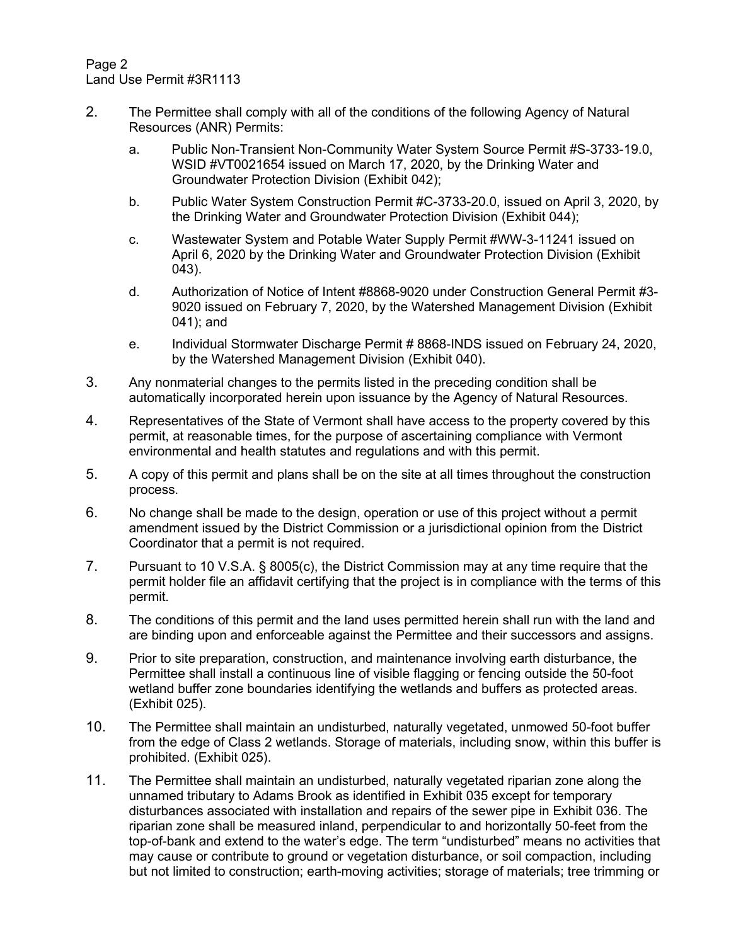Page 2 Land Use Permit #3R1113

- 2. The Permittee shall comply with all of the conditions of the following Agency of Natural Resources (ANR) Permits:
	- a. Public Non-Transient Non-Community Water System Source Permit #S-3733-19.0, WSID #VT0021654 issued on March 17, 2020, by the Drinking Water and Groundwater Protection Division (Exhibit 042);
	- b. Public Water System Construction Permit #C-3733-20.0, issued on April 3, 2020, by the Drinking Water and Groundwater Protection Division (Exhibit 044);
	- c. Wastewater System and Potable Water Supply Permit #WW-3-11241 issued on April 6, 2020 by the Drinking Water and Groundwater Protection Division (Exhibit 043).
	- d. Authorization of Notice of Intent #8868-9020 under Construction General Permit #3- 9020 issued on February 7, 2020, by the Watershed Management Division (Exhibit 041); and
	- e. Individual Stormwater Discharge Permit # 8868-INDS issued on February 24, 2020, by the Watershed Management Division (Exhibit 040).
- 3. Any nonmaterial changes to the permits listed in the preceding condition shall be automatically incorporated herein upon issuance by the Agency of Natural Resources.
- 4. Representatives of the State of Vermont shall have access to the property covered by this permit, at reasonable times, for the purpose of ascertaining compliance with Vermont environmental and health statutes and regulations and with this permit.
- 5. A copy of this permit and plans shall be on the site at all times throughout the construction process.
- 6. No change shall be made to the design, operation or use of this project without a permit amendment issued by the District Commission or a jurisdictional opinion from the District Coordinator that a permit is not required.
- 7. Pursuant to 10 V.S.A. § 8005(c), the District Commission may at any time require that the permit holder file an affidavit certifying that the project is in compliance with the terms of this permit.
- 8. The conditions of this permit and the land uses permitted herein shall run with the land and are binding upon and enforceable against the Permittee and their successors and assigns.
- 9. Prior to site preparation, construction, and maintenance involving earth disturbance, the Permittee shall install a continuous line of visible flagging or fencing outside the 50-foot wetland buffer zone boundaries identifying the wetlands and buffers as protected areas. (Exhibit 025).
- 10. The Permittee shall maintain an undisturbed, naturally vegetated, unmowed 50-foot buffer from the edge of Class 2 wetlands. Storage of materials, including snow, within this buffer is prohibited. (Exhibit 025).
- 11. The Permittee shall maintain an undisturbed, naturally vegetated riparian zone along the unnamed tributary to Adams Brook as identified in Exhibit 035 except for temporary disturbances associated with installation and repairs of the sewer pipe in Exhibit 036. The riparian zone shall be measured inland, perpendicular to and horizontally 50-feet from the top-of-bank and extend to the water's edge. The term "undisturbed" means no activities that may cause or contribute to ground or vegetation disturbance, or soil compaction, including but not limited to construction; earth-moving activities; storage of materials; tree trimming or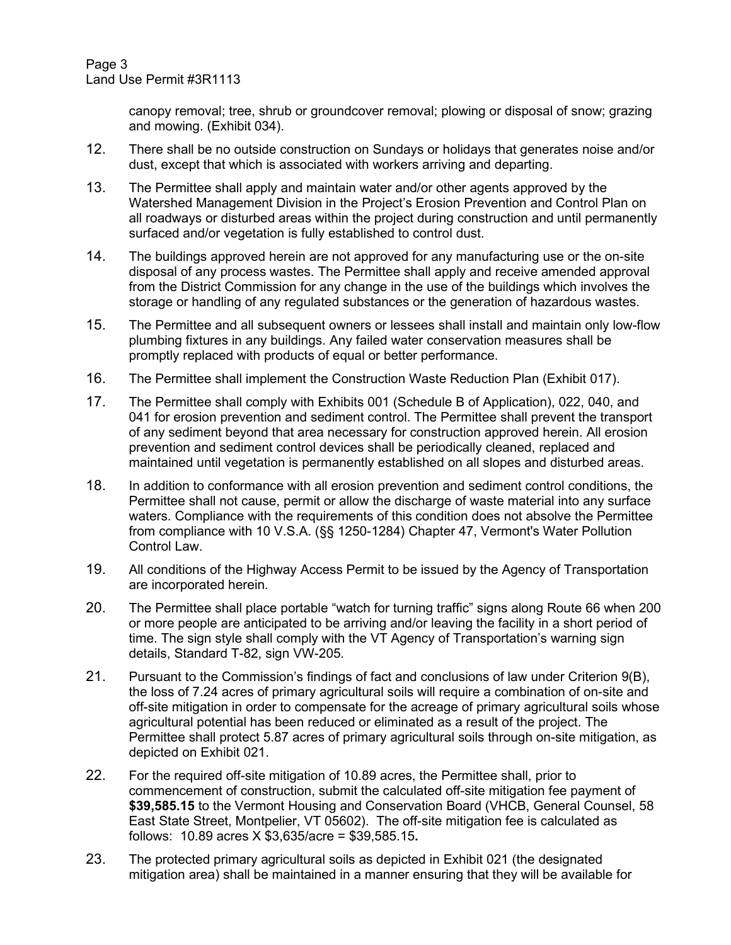canopy removal; tree, shrub or groundcover removal; plowing or disposal of snow; grazing and mowing. (Exhibit 034).

- 12. There shall be no outside construction on Sundays or holidays that generates noise and/or dust, except that which is associated with workers arriving and departing.
- 13. The Permittee shall apply and maintain water and/or other agents approved by the Watershed Management Division in the Project's Erosion Prevention and Control Plan on all roadways or disturbed areas within the project during construction and until permanently surfaced and/or vegetation is fully established to control dust.
- 14. The buildings approved herein are not approved for any manufacturing use or the on-site disposal of any process wastes. The Permittee shall apply and receive amended approval from the District Commission for any change in the use of the buildings which involves the storage or handling of any regulated substances or the generation of hazardous wastes.
- 15. The Permittee and all subsequent owners or lessees shall install and maintain only low-flow plumbing fixtures in any buildings. Any failed water conservation measures shall be promptly replaced with products of equal or better performance.
- 16. The Permittee shall implement the Construction Waste Reduction Plan (Exhibit 017).
- 17. The Permittee shall comply with Exhibits 001 (Schedule B of Application), 022, 040, and 041 for erosion prevention and sediment control. The Permittee shall prevent the transport of any sediment beyond that area necessary for construction approved herein. All erosion prevention and sediment control devices shall be periodically cleaned, replaced and maintained until vegetation is permanently established on all slopes and disturbed areas.
- 18. In addition to conformance with all erosion prevention and sediment control conditions, the Permittee shall not cause, permit or allow the discharge of waste material into any surface waters. Compliance with the requirements of this condition does not absolve the Permittee from compliance with 10 V.S.A. (§§ 1250-1284) Chapter 47, Vermont's Water Pollution Control Law.
- 19. All conditions of the Highway Access Permit to be issued by the Agency of Transportation are incorporated herein.
- 20. The Permittee shall place portable "watch for turning traffic" signs along Route 66 when 200 or more people are anticipated to be arriving and/or leaving the facility in a short period of time. The sign style shall comply with the VT Agency of Transportation's warning sign details, Standard T-82, sign VW-205.
- 21. Pursuant to the Commission's findings of fact and conclusions of law under Criterion 9(B), the loss of 7.24 acres of primary agricultural soils will require a combination of on-site and off-site mitigation in order to compensate for the acreage of primary agricultural soils whose agricultural potential has been reduced or eliminated as a result of the project. The Permittee shall protect 5.87 acres of primary agricultural soils through on-site mitigation, as depicted on Exhibit 021.
- 22. For the required off-site mitigation of 10.89 acres, the Permittee shall, prior to commencement of construction, submit the calculated off-site mitigation fee payment of **\$39,585.15** to the Vermont Housing and Conservation Board (VHCB, General Counsel, 58 East State Street, Montpelier, VT 05602). The off-site mitigation fee is calculated as follows: 10.89 acres X \$3,635/acre = \$39,585.15**.**
- 23. The protected primary agricultural soils as depicted in Exhibit 021 (the designated mitigation area) shall be maintained in a manner ensuring that they will be available for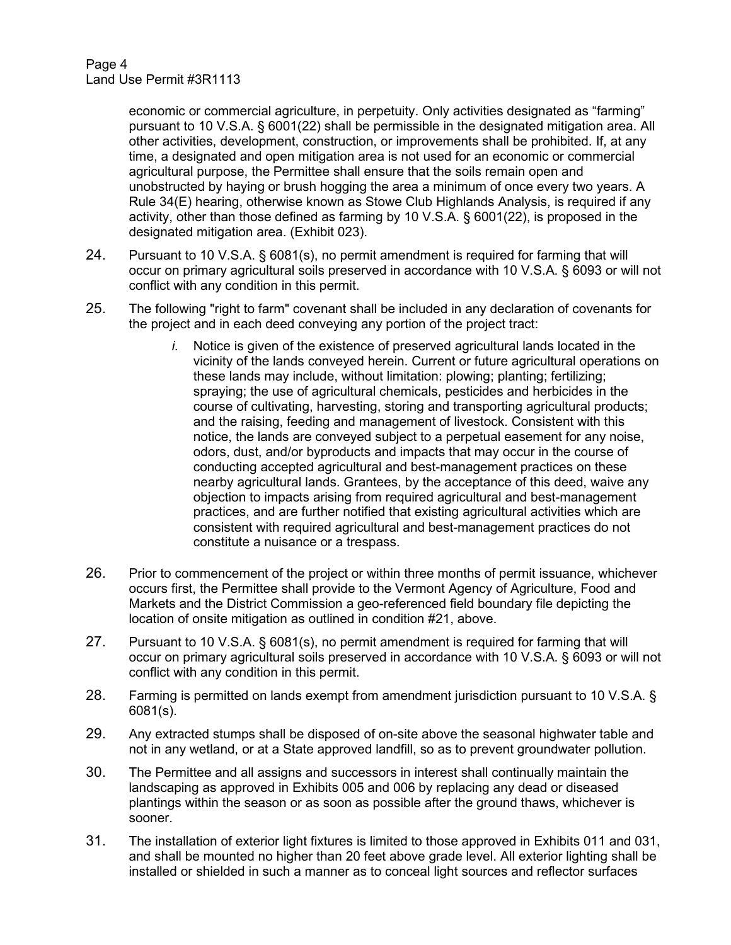economic or commercial agriculture, in perpetuity. Only activities designated as "farming" pursuant to 10 V.S.A. § 6001(22) shall be permissible in the designated mitigation area. All other activities, development, construction, or improvements shall be prohibited. If, at any time, a designated and open mitigation area is not used for an economic or commercial agricultural purpose, the Permittee shall ensure that the soils remain open and unobstructed by haying or brush hogging the area a minimum of once every two years. A Rule 34(E) hearing, otherwise known as Stowe Club Highlands Analysis, is required if any activity, other than those defined as farming by 10 V.S.A. § 6001(22), is proposed in the designated mitigation area. (Exhibit 023).

- 24. Pursuant to 10 V.S.A. § 6081(s), no permit amendment is required for farming that will occur on primary agricultural soils preserved in accordance with 10 V.S.A. § 6093 or will not conflict with any condition in this permit.
- 25. The following "right to farm" covenant shall be included in any declaration of covenants for the project and in each deed conveying any portion of the project tract:
	- *i.* Notice is given of the existence of preserved agricultural lands located in the vicinity of the lands conveyed herein. Current or future agricultural operations on these lands may include, without limitation: plowing; planting; fertilizing; spraying; the use of agricultural chemicals, pesticides and herbicides in the course of cultivating, harvesting, storing and transporting agricultural products; and the raising, feeding and management of livestock. Consistent with this notice, the lands are conveyed subject to a perpetual easement for any noise, odors, dust, and/or byproducts and impacts that may occur in the course of conducting accepted agricultural and best-management practices on these nearby agricultural lands. Grantees, by the acceptance of this deed, waive any objection to impacts arising from required agricultural and best-management practices, and are further notified that existing agricultural activities which are consistent with required agricultural and best-management practices do not constitute a nuisance or a trespass.
- 26. Prior to commencement of the project or within three months of permit issuance, whichever occurs first, the Permittee shall provide to the Vermont Agency of Agriculture, Food and Markets and the District Commission a geo-referenced field boundary file depicting the location of onsite mitigation as outlined in condition #21, above.
- 27. Pursuant to 10 V.S.A. § 6081(s), no permit amendment is required for farming that will occur on primary agricultural soils preserved in accordance with 10 V.S.A. § 6093 or will not conflict with any condition in this permit.
- 28. Farming is permitted on lands exempt from amendment jurisdiction pursuant to 10 V.S.A. § 6081(s).
- 29. Any extracted stumps shall be disposed of on-site above the seasonal highwater table and not in any wetland, or at a State approved landfill, so as to prevent groundwater pollution.
- 30. The Permittee and all assigns and successors in interest shall continually maintain the landscaping as approved in Exhibits 005 and 006 by replacing any dead or diseased plantings within the season or as soon as possible after the ground thaws, whichever is sooner.
- 31. The installation of exterior light fixtures is limited to those approved in Exhibits 011 and 031, and shall be mounted no higher than 20 feet above grade level. All exterior lighting shall be installed or shielded in such a manner as to conceal light sources and reflector surfaces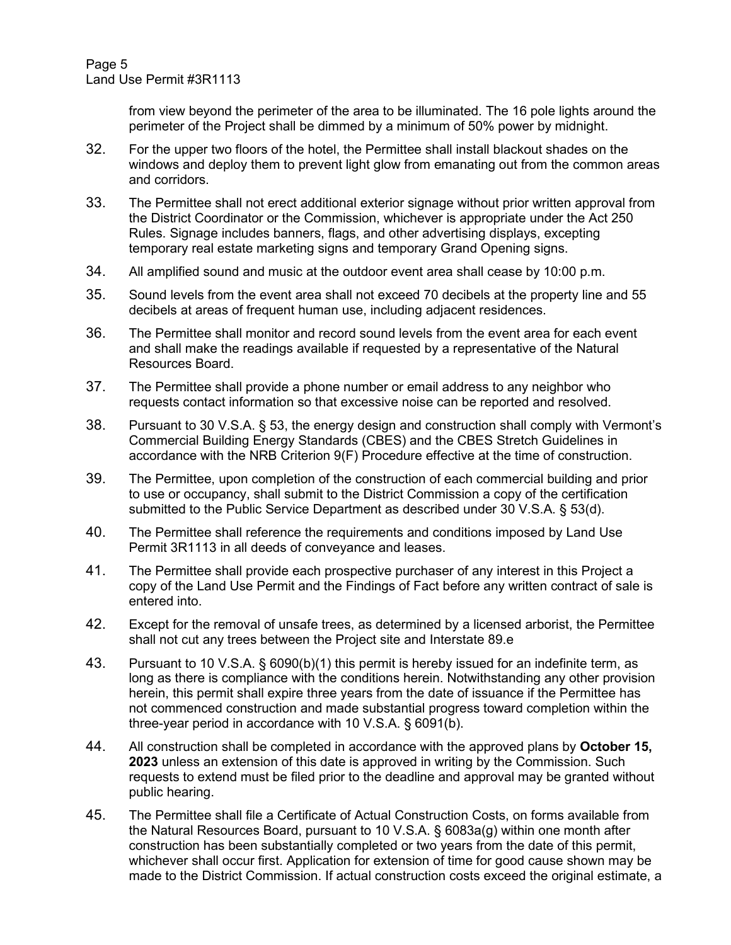Page 5 Land Use Permit #3R1113

> from view beyond the perimeter of the area to be illuminated. The 16 pole lights around the perimeter of the Project shall be dimmed by a minimum of 50% power by midnight.

- 32. For the upper two floors of the hotel, the Permittee shall install blackout shades on the windows and deploy them to prevent light glow from emanating out from the common areas and corridors.
- 33. The Permittee shall not erect additional exterior signage without prior written approval from the District Coordinator or the Commission, whichever is appropriate under the Act 250 Rules. Signage includes banners, flags, and other advertising displays, excepting temporary real estate marketing signs and temporary Grand Opening signs.
- 34. All amplified sound and music at the outdoor event area shall cease by 10:00 p.m.
- 35. Sound levels from the event area shall not exceed 70 decibels at the property line and 55 decibels at areas of frequent human use, including adjacent residences.
- 36. The Permittee shall monitor and record sound levels from the event area for each event and shall make the readings available if requested by a representative of the Natural Resources Board.
- 37. The Permittee shall provide a phone number or email address to any neighbor who requests contact information so that excessive noise can be reported and resolved.
- 38. Pursuant to 30 V.S.A. § 53, the energy design and construction shall comply with Vermont's Commercial Building Energy Standards (CBES) and the CBES Stretch Guidelines in accordance with the NRB Criterion 9(F) Procedure effective at the time of construction.
- 39. The Permittee, upon completion of the construction of each commercial building and prior to use or occupancy, shall submit to the District Commission a copy of the certification submitted to the Public Service Department as described under 30 V.S.A. § 53(d).
- 40. The Permittee shall reference the requirements and conditions imposed by Land Use Permit 3R1113 in all deeds of conveyance and leases.
- 41. The Permittee shall provide each prospective purchaser of any interest in this Project a copy of the Land Use Permit and the Findings of Fact before any written contract of sale is entered into.
- 42. Except for the removal of unsafe trees, as determined by a licensed arborist, the Permittee shall not cut any trees between the Project site and Interstate 89.e
- 43. Pursuant to 10 V.S.A. § 6090(b)(1) this permit is hereby issued for an indefinite term, as long as there is compliance with the conditions herein. Notwithstanding any other provision herein, this permit shall expire three years from the date of issuance if the Permittee has not commenced construction and made substantial progress toward completion within the three-year period in accordance with 10 V.S.A. § 6091(b).
- 44. All construction shall be completed in accordance with the approved plans by **October 15, 2023** unless an extension of this date is approved in writing by the Commission. Such requests to extend must be filed prior to the deadline and approval may be granted without public hearing.
- 45. The Permittee shall file a Certificate of Actual Construction Costs, on forms available from the Natural Resources Board, pursuant to 10 V.S.A. § 6083a(g) within one month after construction has been substantially completed or two years from the date of this permit, whichever shall occur first. Application for extension of time for good cause shown may be made to the District Commission. If actual construction costs exceed the original estimate, a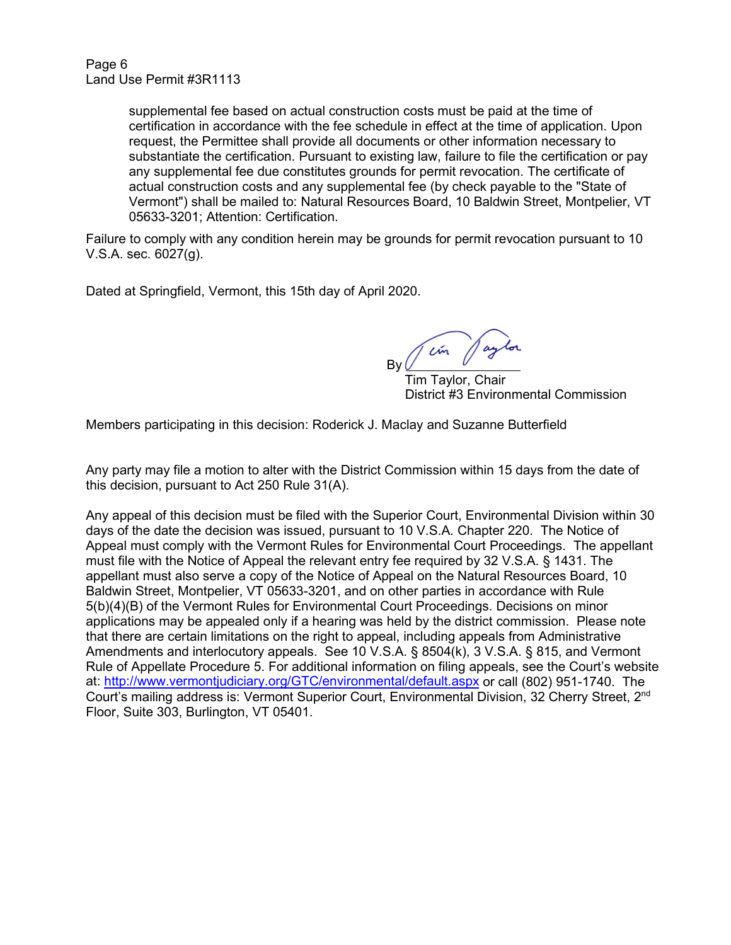supplemental fee based on actual construction costs must be paid at the time of certification in accordance with the fee schedule in effect at the time of application. Upon request, the Permittee shall provide all documents or other information necessary to substantiate the certification. Pursuant to existing law, failure to file the certification or pay any supplemental fee due constitutes grounds for permit revocation. The certificate of actual construction costs and any supplemental fee (by check payable to the "State of Vermont") shall be mailed to: Natural Resources Board, 10 Baldwin Street, Montpelier, VT 05633-3201; Attention: Certification.

Failure to comply with any condition herein may be grounds for permit revocation pursuant to 10 V.S.A. sec. 6027(g).

Dated at Springfield, Vermont, this 15th day of April 2020.

Tem Jaylo By  $U$ 

 Tim Taylor, Chair District #3 Environmental Commission

Members participating in this decision: Roderick J. Maclay and Suzanne Butterfield

Any party may file a motion to alter with the District Commission within 15 days from the date of this decision, pursuant to Act 250 Rule 31(A).

Any appeal of this decision must be filed with the Superior Court, Environmental Division within 30 days of the date the decision was issued, pursuant to 10 V.S.A. Chapter 220. The Notice of Appeal must comply with the Vermont Rules for Environmental Court Proceedings. The appellant must file with the Notice of Appeal the relevant entry fee required by 32 V.S.A. § 1431. The appellant must also serve a copy of the Notice of Appeal on the Natural Resources Board, 10 Baldwin Street, Montpelier, VT 05633-3201, and on other parties in accordance with Rule 5(b)(4)(B) of the Vermont Rules for Environmental Court Proceedings. Decisions on minor applications may be appealed only if a hearing was held by the district commission. Please note that there are certain limitations on the right to appeal, including appeals from Administrative Amendments and interlocutory appeals. See 10 V.S.A. § 8504(k), 3 V.S.A. § 815, and Vermont Rule of Appellate Procedure 5. For additional information on filing appeals, see the Court's website at:<http://www.vermontjudiciary.org/GTC/environmental/default.aspx> or call (802) 951-1740. The Court's mailing address is: Vermont Superior Court, Environmental Division, 32 Cherry Street, 2nd Floor, Suite 303, Burlington, VT 05401.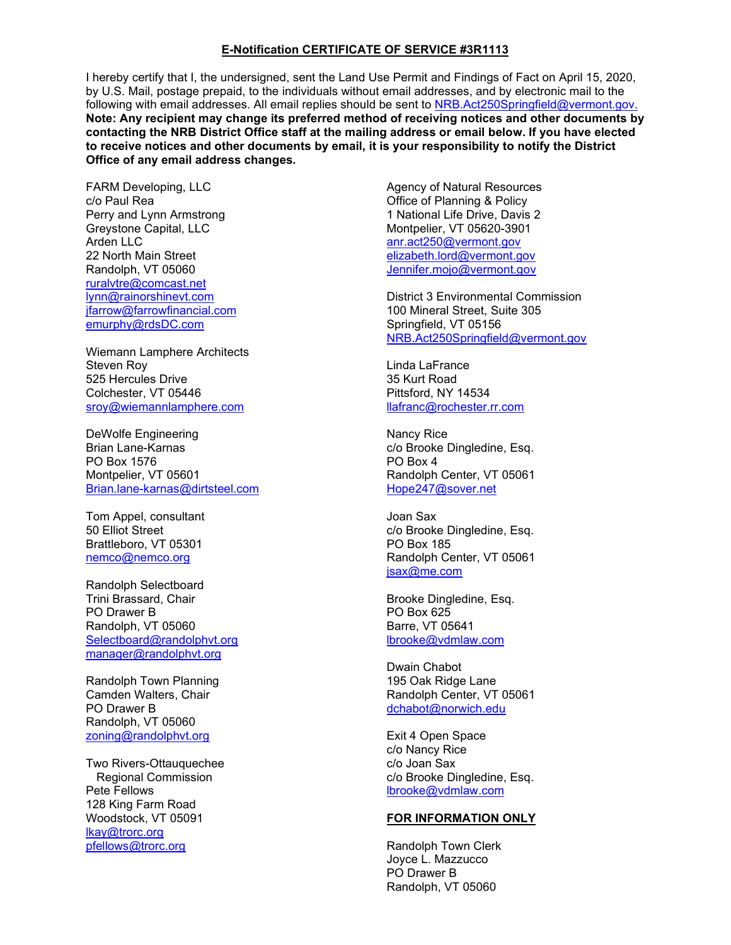#### **E-Notification CERTIFICATE OF SERVICE #3R1113**

I hereby certify that I, the undersigned, sent the Land Use Permit and Findings of Fact on April 15, 2020, by U.S. Mail, postage prepaid, to the individuals without email addresses, and by electronic mail to the following with email addresses. All email replies should be sent to [NRB.Act250Springfield@vermont.gov.](mailto:NRB.Act250Springfield@vermont.gov.) **Note: Any recipient may change its preferred method of receiving notices and other documents by contacting the NRB District Office staff at the mailing address or email below. If you have elected to receive notices and other documents by email, it is your responsibility to notify the District Office of any email address changes.**

FARM Developing, LLC c/o Paul Rea Perry and Lynn Armstrong Greystone Capital, LLC Arden LLC 22 North Main Street Randolph, VT 05060 [ruralvtre@comcast.net](mailto:ruralvtre@comcast.net) [lynn@rainorshinevt.com](mailto:lynn@rainorshinevt.com) [jfarrow@farrowfinancial.com](mailto:jfarrow@farrowfinancial.com) [emurphy@rdsDC.com](mailto:emurphy@rdsDC.com)

Wiemann Lamphere Architects Steven Roy 525 Hercules Drive Colchester, VT 05446 [sroy@wiemannlamphere.com](mailto:sroy@wiemannlamphere.com)

DeWolfe Engineering Brian Lane-Karnas PO Box 1576 Montpelier, VT 05601 [Brian.lane-karnas@dirtsteel.com](mailto:Brian.lane-karnas@dirtsteel.com)

Tom Appel, consultant 50 Elliot Street Brattleboro, VT 05301 [nemco@nemco.org](mailto:nemco@nemco.org)

Randolph Selectboard Trini Brassard, Chair PO Drawer B Randolph, VT 05060 [Selectboard@randolphvt.org](mailto:Selectboard@randolphvt.org) [manager@randolphvt.org](mailto:manager@municipaloffice.randolph.vt.us)

Randolph Town Planning Camden Walters, Chair PO Drawer B Randolph, VT 05060 [zoning@randolphvt.org](mailto:zoning@randolphvt.org)

Two Rivers-Ottauquechee Regional Commission Pete Fellows 128 King Farm Road Woodstock, VT 05091 [lkay@trorc.org](mailto:lkay@trorc.org) [pfellows@trorc.org](mailto:pfellows@trorc.org)

Agency of Natural Resources Office of Planning & Policy 1 National Life Drive, Davis 2 Montpelier, VT 05620-3901 anr.act250@vermont.gov [elizabeth.lord@vermont.gov](mailto:elizabeth.lord@vermont.gov) [Jennifer.mojo@vermont.gov](mailto:Jennifer.mojo@vermont.gov)

District 3 Environmental Commission 100 Mineral Street, Suite 305 Springfield, VT 05156 [NRB.Act250Springfield@vermont.gov](mailto:NRB.Act250Springfield@vermont.gov)

Linda LaFrance 35 Kurt Road Pittsford, NY 14534 [llafranc@rochester.rr.com](mailto:llafranc@rochester.rr.com)

Nancy Rice c/o Brooke Dingledine, Esq. PO Box 4 Randolph Center, VT 05061 [Hope247@sover.net](mailto:Hope247@sover.net)

Joan Sax c/o Brooke Dingledine, Esq. PO Box 185 Randolph Center, VT 05061 [jsax@me.com](mailto:jsax@me.com)

Brooke Dingledine, Esq. PO Box 625 Barre, VT 05641 [lbrooke@vdmlaw.com](mailto:lbrooke@vdmlaw.com)

Dwain Chabot 195 Oak Ridge Lane Randolph Center, VT 05061 [dchabot@norwich.edu](mailto:dchabot@norwich.edu)

Exit 4 Open Space c/o Nancy Rice c/o Joan Sax c/o Brooke Dingledine, Esq. [lbrooke@vdmlaw.com](mailto:lbrooke@vdmlaw.com)

#### **FOR INFORMATION ONLY**

Randolph Town Clerk Joyce L. Mazzucco PO Drawer B Randolph, VT 05060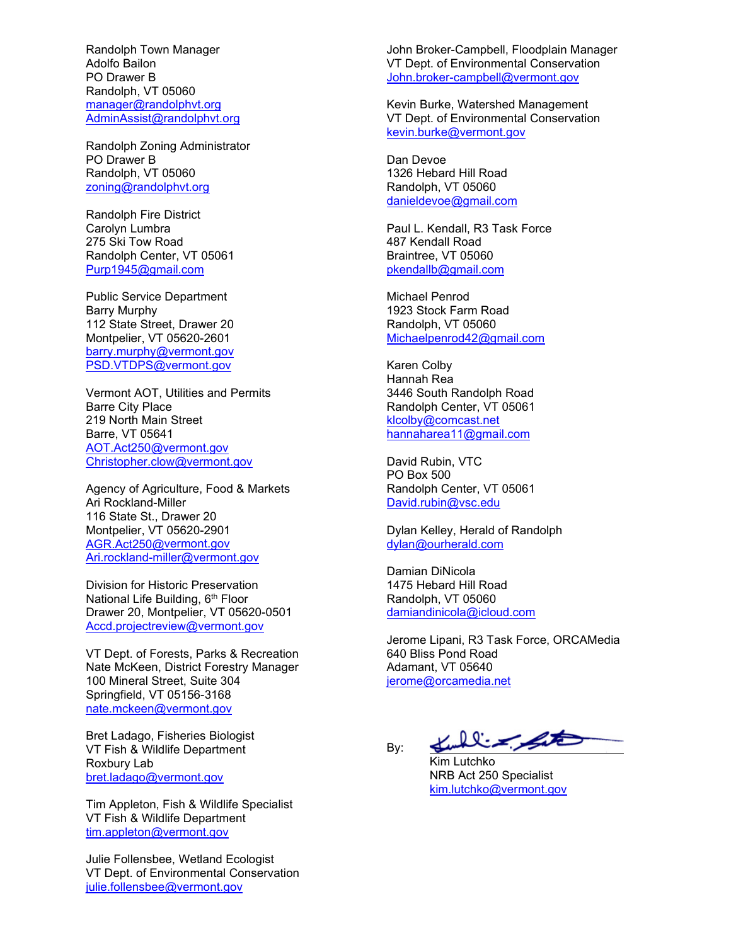Randolph Town Manager Adolfo Bailon PO Drawer B Randolph, VT 05060 [manager@randolphvt.org](mailto:manager@municipaloffice.randolph.vt.us) [AdminAssist@randolphvt.org](mailto:AdminAssist@randolphvt.org)

Randolph Zoning Administrator PO Drawer B Randolph, VT 05060 [zoning@randolphvt.org](mailto:zoning@randolphvt.org)

Randolph Fire District Carolyn Lumbra 275 Ski Tow Road Randolph Center, VT 05061 [Purp1945@gmail.com](mailto:Purp1945@gmail.com)

Public Service Department Barry Murphy 112 State Street, Drawer 20 Montpelier, VT 05620-2601 barry.murphy@vermont.gov [PSD.VTDPS@vermont.gov](mailto:PSD.VTDPS@vermont.gov)

Vermont AOT, Utilities and Permits Barre City Place 219 North Main Street Barre, VT 05641 [AOT.Act250@vermont.gov](mailto:AOT.Act250@vermont.gov) [Christopher.clow@vermont.gov](mailto:Christopher.clow@vermont.gov)

Agency of Agriculture, Food & Markets Ari Rockland-Miller 116 State St., Drawer 20 Montpelier, VT 05620-2901 [AGR.Act250@v](mailto:AGR.Act250@)ermont.gov [Ari.rockland-miller@vermont.gov](mailto:Ari.rockland-miller@vermont.gov)

Division for Historic Preservation National Life Building, 6<sup>th</sup> Floor Drawer 20, Montpelier, VT 05620-0501 [Accd.projectreview@vermont.gov](mailto:Accd.projectreview@vermont.gov)

VT Dept. of Forests, Parks & Recreation Nate McKeen, District Forestry Manager 100 Mineral Street, Suite 304 Springfield, VT 05156-3168 [nate.mckeen@v](mailto:nate.mckeen@)ermont.gov

Bret Ladago, Fisheries Biologist VT Fish & Wildlife Department Roxbury Lab [bret.ladago@v](mailto:bret.ladago@)ermont.gov

Tim Appleton, Fish & Wildlife Specialist VT Fish & Wildlife Department [tim.appleton@vermont.gov](mailto:tim.appleton@vermont.gov)

Julie Follensbee, Wetland Ecologist VT Dept. of Environmental Conservation [julie.follensbee@vermont.gov](mailto:julie.follensbee@vermont.gov)

John Broker-Campbell, Floodplain Manager VT Dept. of Environmental Conservation [John.broker-campbell@vermont.gov](mailto:John.broker-campbell@vermont.gov)

Kevin Burke, Watershed Management VT Dept. of Environmental Conservation [kevin.burke@vermont.gov](mailto:kevin.burke@vermont.gov)

Dan Devoe 1326 Hebard Hill Road Randolph, VT 05060 [danieldevoe@gmail.com](mailto:danieldevoe@gmail.com)

Paul L. Kendall, R3 Task Force 487 Kendall Road Braintree, VT 05060 [pkendallb@gmail.com](mailto:pkendallb@gmail.com)

Michael Penrod 1923 Stock Farm Road Randolph, VT 05060 [Michaelpenrod42@gmail.com](mailto:Michaelpenrod42@gmail.com)

Karen Colby Hannah Rea 3446 South Randolph Road Randolph Center, VT 05061 [klcolby@comcast.net](mailto:klcolby@comcast.net) [hannaharea11@gmail.com](mailto:hannaharea11@gmail.com)

David Rubin, VTC PO Box 500 Randolph Center, VT 05061 [David.rubin@vsc.edu](mailto:David.rubin@vsc.edu)

Dylan Kelley, Herald of Randolph [dylan@ourherald.com](mailto:dylan@ourherald.com)

Damian DiNicola 1475 Hebard Hill Road Randolph, VT 05060 [damiandinicola@icloud.com](mailto:damiandinicola@icloud.com)

By:

Jerome Lipani, R3 Task Force, ORCAMedia 640 Bliss Pond Road Adamant, VT 05640 [jerome@orcamedia.net](mailto:jerome@orcamedia.net)

Kulling St

Kim Lutchko NRB Act 250 Specialist [kim.lutchko@vermont.gov](mailto:kim.lutchko@vermont.gov)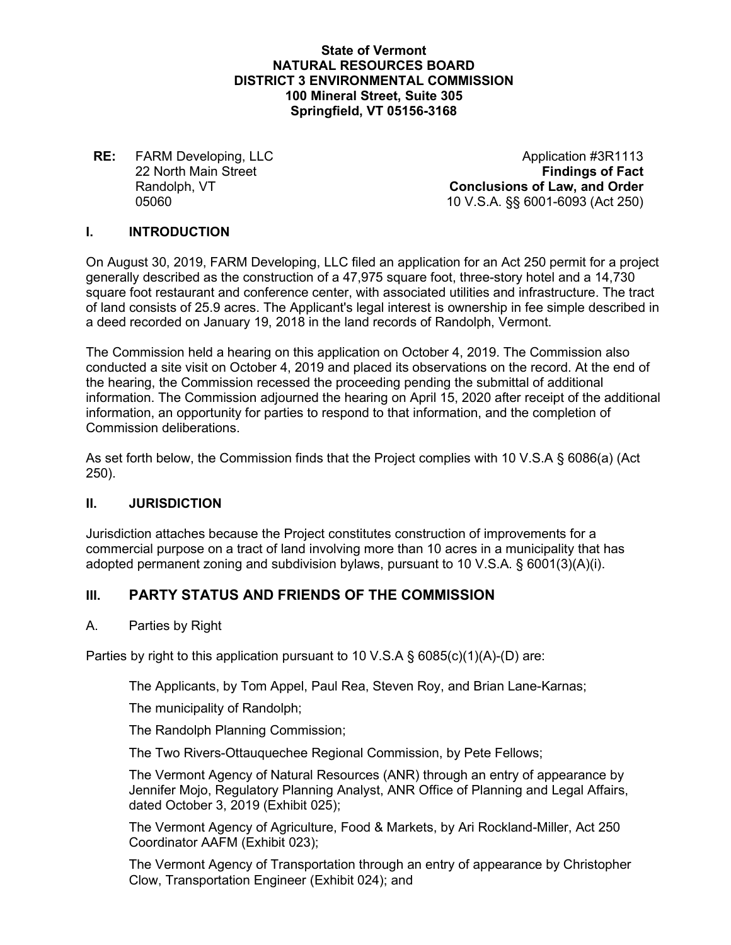#### **State of Vermont NATURAL RESOURCES BOARD DISTRICT 3 ENVIRONMENTAL COMMISSION 100 Mineral Street, Suite 305 Springfield, VT 05156-3168**

**22 North Main Street** 

**RE:** FARM Developing, LLC<br>22 North Main Street **Application #3R1113**<br>Findings of Fact Randolph, VT **Conclusions of Law, and Order** 05060 10 V.S.A. §§ 6001-6093 (Act 250)

#### **I. INTRODUCTION**

On August 30, 2019, FARM Developing, LLC filed an application for an Act 250 permit for a project generally described as the construction of a 47,975 square foot, three-story hotel and a 14,730 square foot restaurant and conference center, with associated utilities and infrastructure. The tract of land consists of 25.9 acres. The Applicant's legal interest is ownership in fee simple described in a deed recorded on January 19, 2018 in the land records of Randolph, Vermont.

The Commission held a hearing on this application on October 4, 2019. The Commission also conducted a site visit on October 4, 2019 and placed its observations on the record. At the end of the hearing, the Commission recessed the proceeding pending the submittal of additional information. The Commission adjourned the hearing on April 15, 2020 after receipt of the additional information, an opportunity for parties to respond to that information, and the completion of Commission deliberations.

As set forth below, the Commission finds that the Project complies with 10 V.S.A § 6086(a) (Act 250).

#### **II. JURISDICTION**

Jurisdiction attaches because the Project constitutes construction of improvements for a commercial purpose on a tract of land involving more than 10 acres in a municipality that has adopted permanent zoning and subdivision bylaws, pursuant to 10 V.S.A. § 6001(3)(A)(i).

# **III. PARTY STATUS AND FRIENDS OF THE COMMISSION**

#### A. Parties by Right

Parties by right to this application pursuant to 10 V.S.A § 6085(c)(1)(A)-(D) are:

The Applicants, by Tom Appel, Paul Rea, Steven Roy, and Brian Lane-Karnas;

The municipality of Randolph;

The Randolph Planning Commission;

The Two Rivers-Ottauquechee Regional Commission, by Pete Fellows;

The Vermont Agency of Natural Resources (ANR) through an entry of appearance by Jennifer Mojo, Regulatory Planning Analyst, ANR Office of Planning and Legal Affairs, dated October 3, 2019 (Exhibit 025);

The Vermont Agency of Agriculture, Food & Markets, by Ari Rockland-Miller, Act 250 Coordinator AAFM (Exhibit 023);

The Vermont Agency of Transportation through an entry of appearance by Christopher Clow, Transportation Engineer (Exhibit 024); and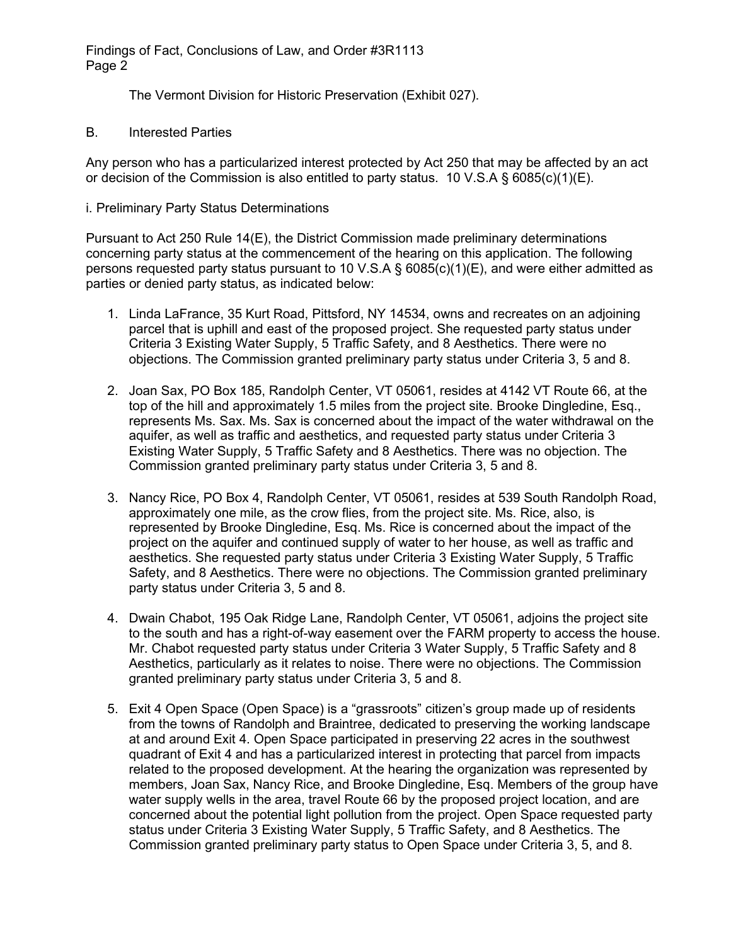The Vermont Division for Historic Preservation (Exhibit 027).

B. Interested Parties

Any person who has a particularized interest protected by Act 250 that may be affected by an act or decision of the Commission is also entitled to party status. 10 V.S.A § 6085(c)(1)(E).

i. Preliminary Party Status Determinations

Pursuant to Act 250 Rule 14(E), the District Commission made preliminary determinations concerning party status at the commencement of the hearing on this application. The following persons requested party status pursuant to 10 V.S.A § 6085(c)(1)(E), and were either admitted as parties or denied party status, as indicated below:

- 1. Linda LaFrance, 35 Kurt Road, Pittsford, NY 14534, owns and recreates on an adjoining parcel that is uphill and east of the proposed project. She requested party status under Criteria 3 Existing Water Supply, 5 Traffic Safety, and 8 Aesthetics. There were no objections. The Commission granted preliminary party status under Criteria 3, 5 and 8.
- 2. Joan Sax, PO Box 185, Randolph Center, VT 05061, resides at 4142 VT Route 66, at the top of the hill and approximately 1.5 miles from the project site. Brooke Dingledine, Esq., represents Ms. Sax. Ms. Sax is concerned about the impact of the water withdrawal on the aquifer, as well as traffic and aesthetics, and requested party status under Criteria 3 Existing Water Supply, 5 Traffic Safety and 8 Aesthetics. There was no objection. The Commission granted preliminary party status under Criteria 3, 5 and 8.
- 3. Nancy Rice, PO Box 4, Randolph Center, VT 05061, resides at 539 South Randolph Road, approximately one mile, as the crow flies, from the project site. Ms. Rice, also, is represented by Brooke Dingledine, Esq. Ms. Rice is concerned about the impact of the project on the aquifer and continued supply of water to her house, as well as traffic and aesthetics. She requested party status under Criteria 3 Existing Water Supply, 5 Traffic Safety, and 8 Aesthetics. There were no objections. The Commission granted preliminary party status under Criteria 3, 5 and 8.
- 4. Dwain Chabot, 195 Oak Ridge Lane, Randolph Center, VT 05061, adjoins the project site to the south and has a right-of-way easement over the FARM property to access the house. Mr. Chabot requested party status under Criteria 3 Water Supply, 5 Traffic Safety and 8 Aesthetics, particularly as it relates to noise. There were no objections. The Commission granted preliminary party status under Criteria 3, 5 and 8.
- 5. Exit 4 Open Space (Open Space) is a "grassroots" citizen's group made up of residents from the towns of Randolph and Braintree, dedicated to preserving the working landscape at and around Exit 4. Open Space participated in preserving 22 acres in the southwest quadrant of Exit 4 and has a particularized interest in protecting that parcel from impacts related to the proposed development. At the hearing the organization was represented by members, Joan Sax, Nancy Rice, and Brooke Dingledine, Esq. Members of the group have water supply wells in the area, travel Route 66 by the proposed project location, and are concerned about the potential light pollution from the project. Open Space requested party status under Criteria 3 Existing Water Supply, 5 Traffic Safety, and 8 Aesthetics. The Commission granted preliminary party status to Open Space under Criteria 3, 5, and 8.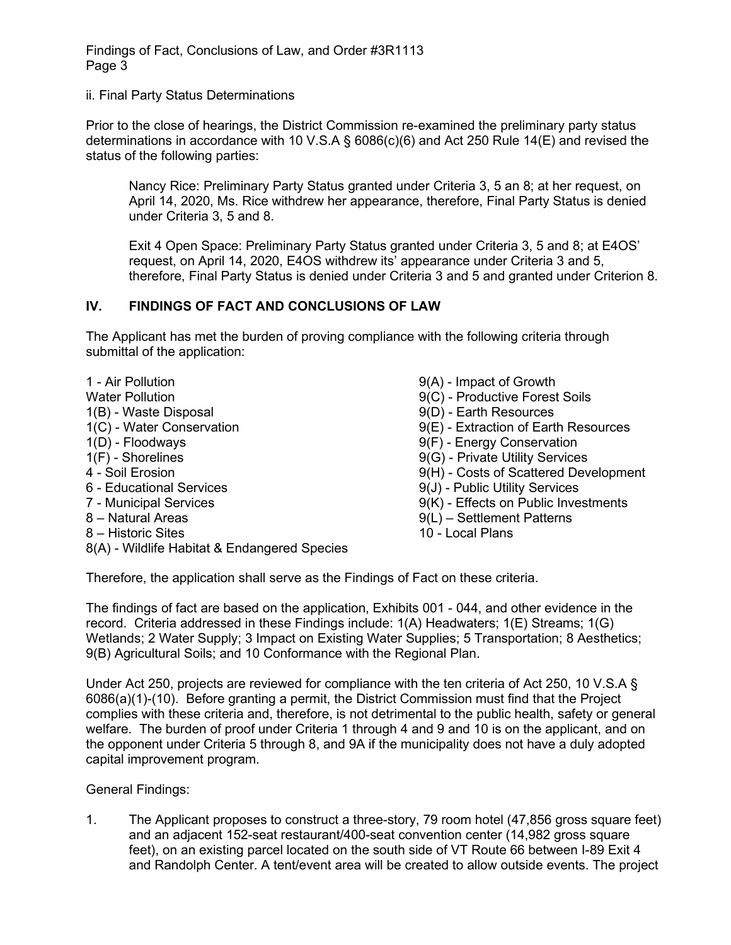ii. Final Party Status Determinations

Prior to the close of hearings, the District Commission re-examined the preliminary party status determinations in accordance with 10 V.S.A § 6086(c)(6) and Act 250 Rule 14(E) and revised the status of the following parties:

Nancy Rice: Preliminary Party Status granted under Criteria 3, 5 an 8; at her request, on April 14, 2020, Ms. Rice withdrew her appearance, therefore, Final Party Status is denied under Criteria 3, 5 and 8.

Exit 4 Open Space: Preliminary Party Status granted under Criteria 3, 5 and 8; at E4OS' request, on April 14, 2020, E4OS withdrew its' appearance under Criteria 3 and 5, therefore, Final Party Status is denied under Criteria 3 and 5 and granted under Criterion 8.

# **IV. FINDINGS OF FACT AND CONCLUSIONS OF LAW**

The Applicant has met the burden of proving compliance with the following criteria through submittal of the application:

- 1 Air Pollution Water Pollution 1(B) - Waste Disposal 1(C) - Water Conservation 1(D) - Floodways 1(F) - Shorelines 4 - Soil Erosion 6 - Educational Services 7 - Municipal Services 8 – Natural Areas 8 – Historic Sites 8(A) - Wildlife Habitat & Endangered Species
- 9(A) Impact of Growth
- 9(C) Productive Forest Soils
- 9(D) Earth Resources
- 9(E) Extraction of Earth Resources
- 9(F) Energy Conservation
- 9(G) Private Utility Services
- 9(H) Costs of Scattered Development
- 9(J) Public Utility Services
- 9(K) Effects on Public Investments
- 9(L) Settlement Patterns
- 10 Local Plans

Therefore, the application shall serve as the Findings of Fact on these criteria.

The findings of fact are based on the application, Exhibits 001 - 044, and other evidence in the record. Criteria addressed in these Findings include: 1(A) Headwaters; 1(E) Streams; 1(G) Wetlands; 2 Water Supply; 3 Impact on Existing Water Supplies; 5 Transportation; 8 Aesthetics; 9(B) Agricultural Soils; and 10 Conformance with the Regional Plan.

Under Act 250, projects are reviewed for compliance with the ten criteria of Act 250, 10 V.S.A § 6086(a)(1)-(10). Before granting a permit, the District Commission must find that the Project complies with these criteria and, therefore, is not detrimental to the public health, safety or general welfare. The burden of proof under Criteria 1 through 4 and 9 and 10 is on the applicant, and on the opponent under Criteria 5 through 8, and 9A if the municipality does not have a duly adopted capital improvement program.

General Findings:

1. The Applicant proposes to construct a three-story, 79 room hotel (47,856 gross square feet) and an adjacent 152-seat restaurant/400-seat convention center (14,982 gross square feet), on an existing parcel located on the south side of VT Route 66 between I-89 Exit 4 and Randolph Center. A tent/event area will be created to allow outside events. The project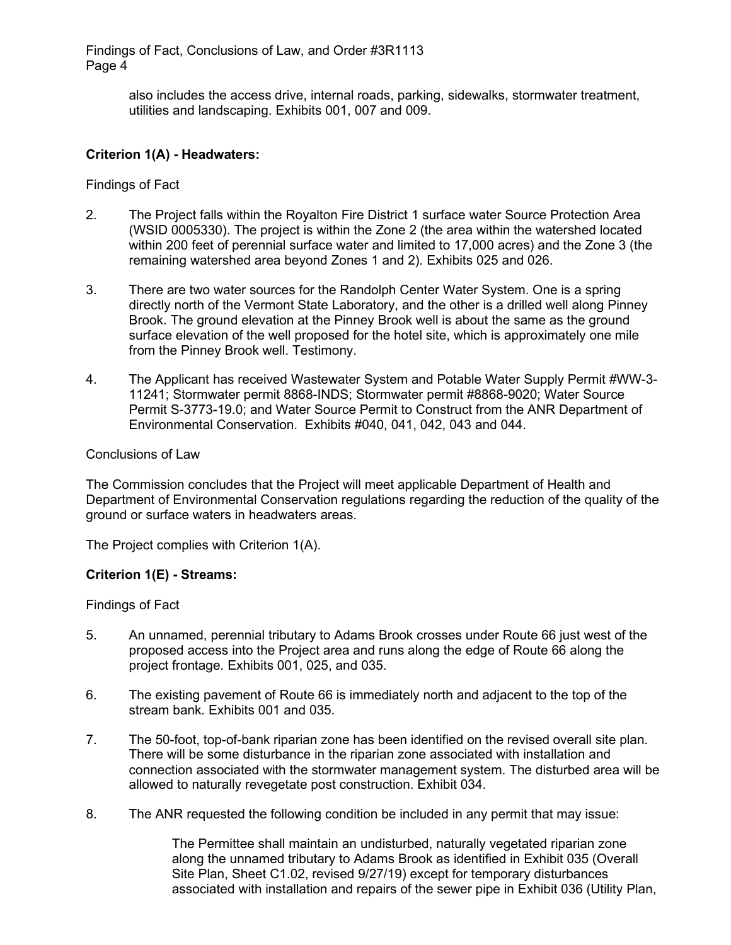> also includes the access drive, internal roads, parking, sidewalks, stormwater treatment, utilities and landscaping. Exhibits 001, 007 and 009.

# **Criterion 1(A) - Headwaters:**

Findings of Fact

- 2. The Project falls within the Royalton Fire District 1 surface water Source Protection Area (WSID 0005330). The project is within the Zone 2 (the area within the watershed located within 200 feet of perennial surface water and limited to 17,000 acres) and the Zone 3 (the remaining watershed area beyond Zones 1 and 2). Exhibits 025 and 026.
- 3. There are two water sources for the Randolph Center Water System. One is a spring directly north of the Vermont State Laboratory, and the other is a drilled well along Pinney Brook. The ground elevation at the Pinney Brook well is about the same as the ground surface elevation of the well proposed for the hotel site, which is approximately one mile from the Pinney Brook well. Testimony.
- 4. The Applicant has received Wastewater System and Potable Water Supply Permit #WW-3- 11241; Stormwater permit 8868-INDS; Stormwater permit #8868-9020; Water Source Permit S-3773-19.0; and Water Source Permit to Construct from the ANR Department of Environmental Conservation. Exhibits #040, 041, 042, 043 and 044.

#### Conclusions of Law

The Commission concludes that the Project will meet applicable Department of Health and Department of Environmental Conservation regulations regarding the reduction of the quality of the ground or surface waters in headwaters areas.

The Project complies with Criterion 1(A).

# **Criterion 1(E) - Streams:**

Findings of Fact

- 5. An unnamed, perennial tributary to Adams Brook crosses under Route 66 just west of the proposed access into the Project area and runs along the edge of Route 66 along the project frontage. Exhibits 001, 025, and 035.
- 6. The existing pavement of Route 66 is immediately north and adjacent to the top of the stream bank. Exhibits 001 and 035.
- 7. The 50-foot, top-of-bank riparian zone has been identified on the revised overall site plan. There will be some disturbance in the riparian zone associated with installation and connection associated with the stormwater management system. The disturbed area will be allowed to naturally revegetate post construction. Exhibit 034.
- 8. The ANR requested the following condition be included in any permit that may issue:

The Permittee shall maintain an undisturbed, naturally vegetated riparian zone along the unnamed tributary to Adams Brook as identified in Exhibit 035 (Overall Site Plan, Sheet C1.02, revised 9/27/19) except for temporary disturbances associated with installation and repairs of the sewer pipe in Exhibit 036 (Utility Plan,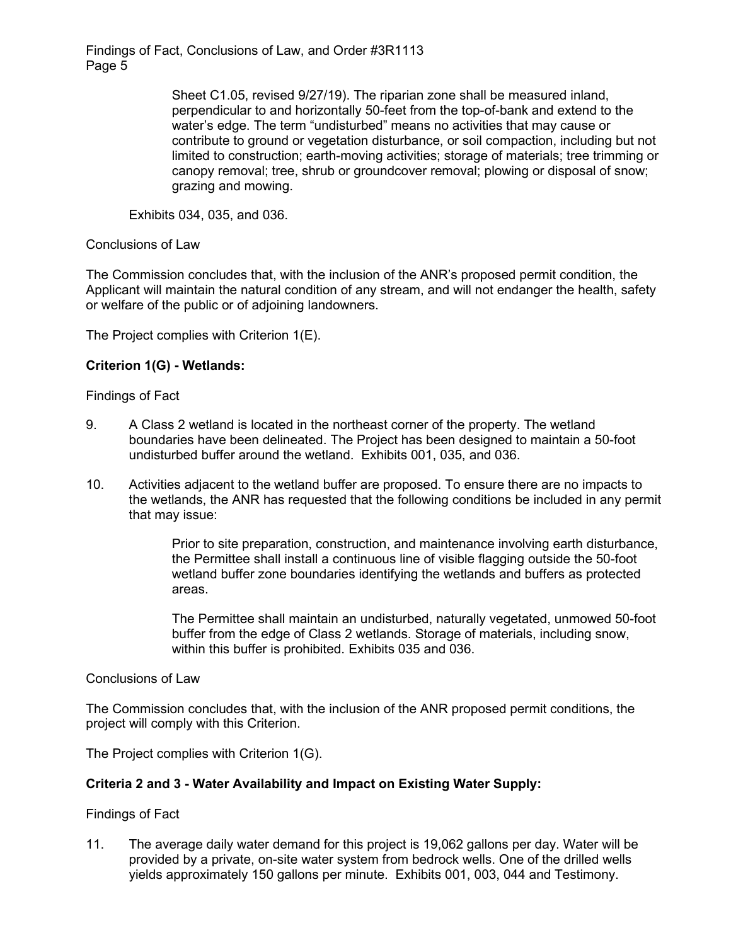> Sheet C1.05, revised 9/27/19). The riparian zone shall be measured inland, perpendicular to and horizontally 50-feet from the top-of-bank and extend to the water's edge. The term "undisturbed" means no activities that may cause or contribute to ground or vegetation disturbance, or soil compaction, including but not limited to construction; earth-moving activities; storage of materials; tree trimming or canopy removal; tree, shrub or groundcover removal; plowing or disposal of snow; grazing and mowing.

Exhibits 034, 035, and 036.

Conclusions of Law

The Commission concludes that, with the inclusion of the ANR's proposed permit condition, the Applicant will maintain the natural condition of any stream, and will not endanger the health, safety or welfare of the public or of adjoining landowners.

The Project complies with Criterion 1(E).

# **Criterion 1(G) - Wetlands:**

Findings of Fact

- 9. A Class 2 wetland is located in the northeast corner of the property. The wetland boundaries have been delineated. The Project has been designed to maintain a 50-foot undisturbed buffer around the wetland. Exhibits 001, 035, and 036.
- 10. Activities adjacent to the wetland buffer are proposed. To ensure there are no impacts to the wetlands, the ANR has requested that the following conditions be included in any permit that may issue:

Prior to site preparation, construction, and maintenance involving earth disturbance, the Permittee shall install a continuous line of visible flagging outside the 50-foot wetland buffer zone boundaries identifying the wetlands and buffers as protected areas.

The Permittee shall maintain an undisturbed, naturally vegetated, unmowed 50-foot buffer from the edge of Class 2 wetlands. Storage of materials, including snow, within this buffer is prohibited. Exhibits 035 and 036.

Conclusions of Law

The Commission concludes that, with the inclusion of the ANR proposed permit conditions, the project will comply with this Criterion.

The Project complies with Criterion 1(G).

#### **Criteria 2 and 3 - Water Availability and Impact on Existing Water Supply:**

Findings of Fact

11. The average daily water demand for this project is 19,062 gallons per day. Water will be provided by a private, on-site water system from bedrock wells. One of the drilled wells yields approximately 150 gallons per minute. Exhibits 001, 003, 044 and Testimony.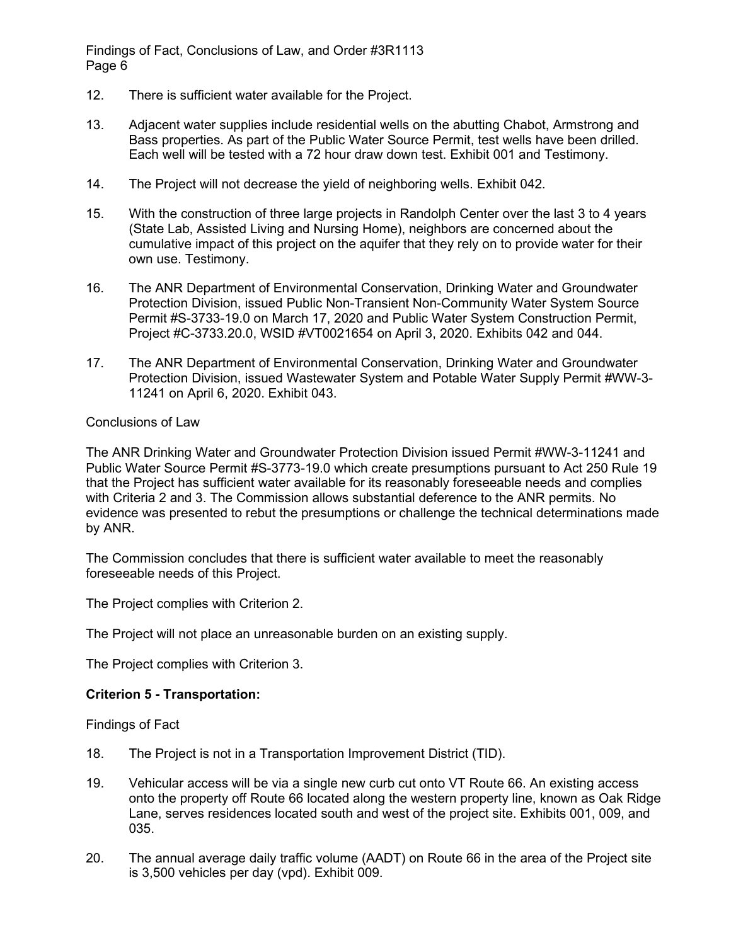- 12. There is sufficient water available for the Project.
- 13. Adjacent water supplies include residential wells on the abutting Chabot, Armstrong and Bass properties. As part of the Public Water Source Permit, test wells have been drilled. Each well will be tested with a 72 hour draw down test. Exhibit 001 and Testimony.
- 14. The Project will not decrease the yield of neighboring wells. Exhibit 042.
- 15. With the construction of three large projects in Randolph Center over the last 3 to 4 years (State Lab, Assisted Living and Nursing Home), neighbors are concerned about the cumulative impact of this project on the aquifer that they rely on to provide water for their own use. Testimony.
- 16. The ANR Department of Environmental Conservation, Drinking Water and Groundwater Protection Division, issued Public Non-Transient Non-Community Water System Source Permit #S-3733-19.0 on March 17, 2020 and Public Water System Construction Permit, Project #C-3733.20.0, WSID #VT0021654 on April 3, 2020. Exhibits 042 and 044.
- 17. The ANR Department of Environmental Conservation, Drinking Water and Groundwater Protection Division, issued Wastewater System and Potable Water Supply Permit #WW-3- 11241 on April 6, 2020. Exhibit 043.

## Conclusions of Law

The ANR Drinking Water and Groundwater Protection Division issued Permit #WW-3-11241 and Public Water Source Permit #S-3773-19.0 which create presumptions pursuant to Act 250 Rule 19 that the Project has sufficient water available for its reasonably foreseeable needs and complies with Criteria 2 and 3. The Commission allows substantial deference to the ANR permits. No evidence was presented to rebut the presumptions or challenge the technical determinations made by ANR.

The Commission concludes that there is sufficient water available to meet the reasonably foreseeable needs of this Project.

The Project complies with Criterion 2.

The Project will not place an unreasonable burden on an existing supply.

The Project complies with Criterion 3.

#### **Criterion 5 - Transportation:**

Findings of Fact

- 18. The Project is not in a Transportation Improvement District (TID).
- 19. Vehicular access will be via a single new curb cut onto VT Route 66. An existing access onto the property off Route 66 located along the western property line, known as Oak Ridge Lane, serves residences located south and west of the project site. Exhibits 001, 009, and 035.
- 20. The annual average daily traffic volume (AADT) on Route 66 in the area of the Project site is 3,500 vehicles per day (vpd). Exhibit 009.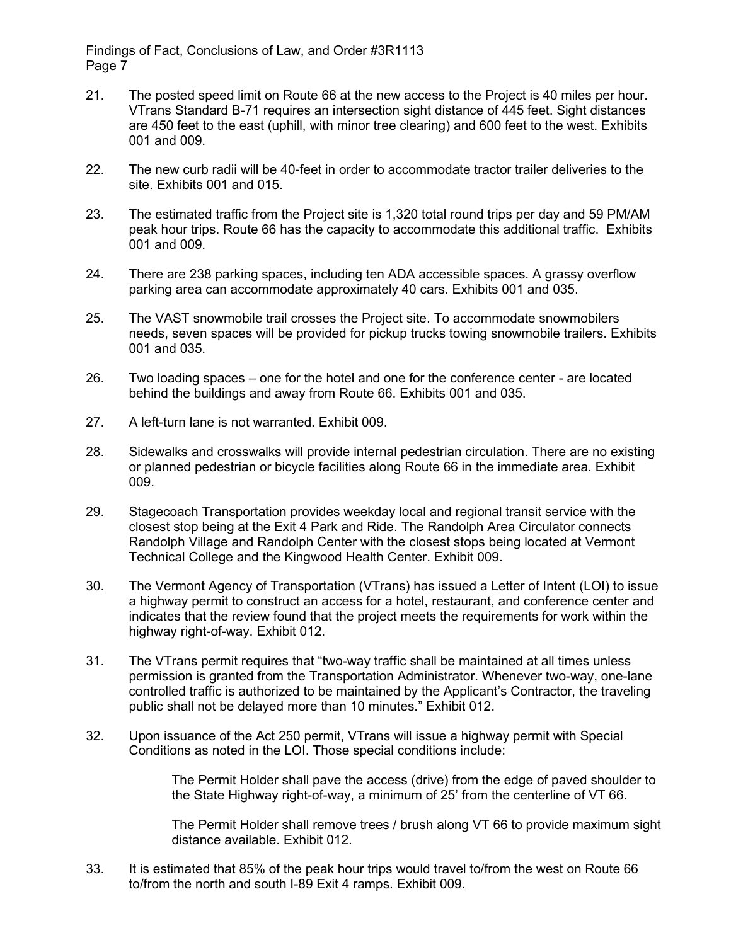- 21. The posted speed limit on Route 66 at the new access to the Project is 40 miles per hour. VTrans Standard B-71 requires an intersection sight distance of 445 feet. Sight distances are 450 feet to the east (uphill, with minor tree clearing) and 600 feet to the west. Exhibits 001 and 009.
- 22. The new curb radii will be 40-feet in order to accommodate tractor trailer deliveries to the site. Exhibits 001 and 015.
- 23. The estimated traffic from the Project site is 1,320 total round trips per day and 59 PM/AM peak hour trips. Route 66 has the capacity to accommodate this additional traffic. Exhibits 001 and 009.
- 24. There are 238 parking spaces, including ten ADA accessible spaces. A grassy overflow parking area can accommodate approximately 40 cars. Exhibits 001 and 035.
- 25. The VAST snowmobile trail crosses the Project site. To accommodate snowmobilers needs, seven spaces will be provided for pickup trucks towing snowmobile trailers. Exhibits 001 and 035.
- 26. Two loading spaces one for the hotel and one for the conference center are located behind the buildings and away from Route 66. Exhibits 001 and 035.
- 27. A left-turn lane is not warranted. Exhibit 009
- 28. Sidewalks and crosswalks will provide internal pedestrian circulation. There are no existing or planned pedestrian or bicycle facilities along Route 66 in the immediate area. Exhibit 009.
- 29. Stagecoach Transportation provides weekday local and regional transit service with the closest stop being at the Exit 4 Park and Ride. The Randolph Area Circulator connects Randolph Village and Randolph Center with the closest stops being located at Vermont Technical College and the Kingwood Health Center. Exhibit 009.
- 30. The Vermont Agency of Transportation (VTrans) has issued a Letter of Intent (LOI) to issue a highway permit to construct an access for a hotel, restaurant, and conference center and indicates that the review found that the project meets the requirements for work within the highway right-of-way. Exhibit 012.
- 31. The VTrans permit requires that "two-way traffic shall be maintained at all times unless permission is granted from the Transportation Administrator. Whenever two-way, one-lane controlled traffic is authorized to be maintained by the Applicant's Contractor, the traveling public shall not be delayed more than 10 minutes." Exhibit 012.
- 32. Upon issuance of the Act 250 permit, VTrans will issue a highway permit with Special Conditions as noted in the LOI. Those special conditions include:

The Permit Holder shall pave the access (drive) from the edge of paved shoulder to the State Highway right-of-way, a minimum of 25' from the centerline of VT 66.

The Permit Holder shall remove trees / brush along VT 66 to provide maximum sight distance available. Exhibit 012.

33. It is estimated that 85% of the peak hour trips would travel to/from the west on Route 66 to/from the north and south I-89 Exit 4 ramps. Exhibit 009.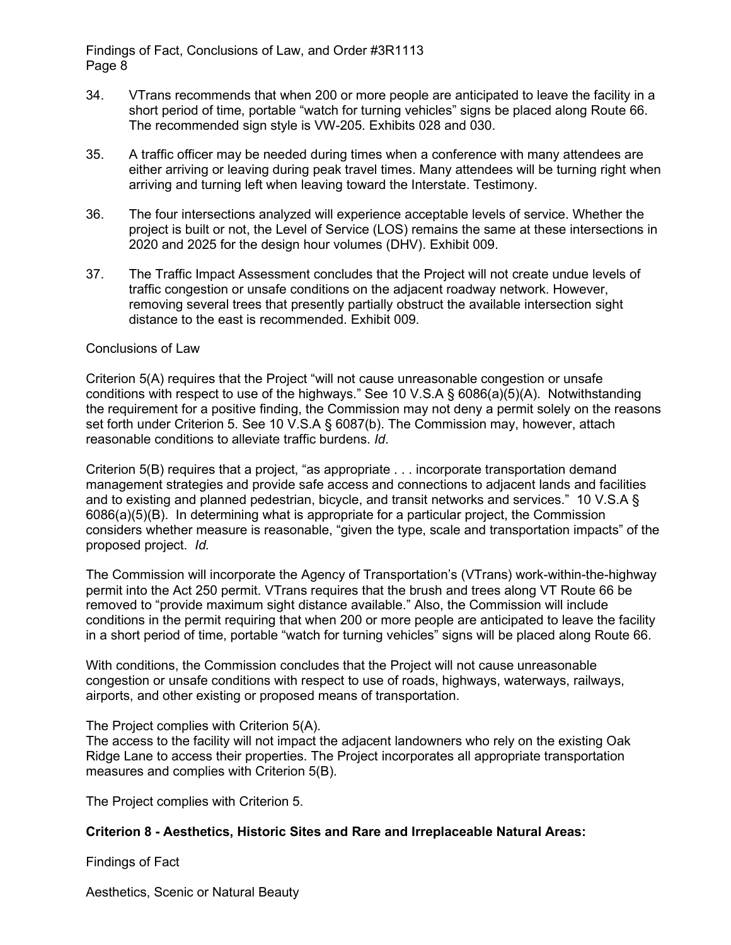- 34. VTrans recommends that when 200 or more people are anticipated to leave the facility in a short period of time, portable "watch for turning vehicles" signs be placed along Route 66. The recommended sign style is VW-205. Exhibits 028 and 030.
- 35. A traffic officer may be needed during times when a conference with many attendees are either arriving or leaving during peak travel times. Many attendees will be turning right when arriving and turning left when leaving toward the Interstate. Testimony.
- 36. The four intersections analyzed will experience acceptable levels of service. Whether the project is built or not, the Level of Service (LOS) remains the same at these intersections in 2020 and 2025 for the design hour volumes (DHV). Exhibit 009.
- 37. The Traffic Impact Assessment concludes that the Project will not create undue levels of traffic congestion or unsafe conditions on the adjacent roadway network. However, removing several trees that presently partially obstruct the available intersection sight distance to the east is recommended. Exhibit 009.

## Conclusions of Law

Criterion 5(A) requires that the Project "will not cause unreasonable congestion or unsafe conditions with respect to use of the highways." See 10 V.S.A § 6086(a)(5)(A). Notwithstanding the requirement for a positive finding, the Commission may not deny a permit solely on the reasons set forth under Criterion 5. See 10 V.S.A § 6087(b). The Commission may, however, attach reasonable conditions to alleviate traffic burdens. *Id*.

Criterion 5(B) requires that a project, "as appropriate . . . incorporate transportation demand management strategies and provide safe access and connections to adjacent lands and facilities and to existing and planned pedestrian, bicycle, and transit networks and services." 10 V.S.A § 6086(a)(5)(B). In determining what is appropriate for a particular project, the Commission considers whether measure is reasonable, "given the type, scale and transportation impacts" of the proposed project. *Id.*

The Commission will incorporate the Agency of Transportation's (VTrans) work-within-the-highway permit into the Act 250 permit. VTrans requires that the brush and trees along VT Route 66 be removed to "provide maximum sight distance available." Also, the Commission will include conditions in the permit requiring that when 200 or more people are anticipated to leave the facility in a short period of time, portable "watch for turning vehicles" signs will be placed along Route 66.

With conditions, the Commission concludes that the Project will not cause unreasonable congestion or unsafe conditions with respect to use of roads, highways, waterways, railways, airports, and other existing or proposed means of transportation.

The Project complies with Criterion 5(A).

The access to the facility will not impact the adjacent landowners who rely on the existing Oak Ridge Lane to access their properties. The Project incorporates all appropriate transportation measures and complies with Criterion 5(B).

The Project complies with Criterion 5.

# **Criterion 8 - Aesthetics, Historic Sites and Rare and Irreplaceable Natural Areas:**

Findings of Fact

Aesthetics, Scenic or Natural Beauty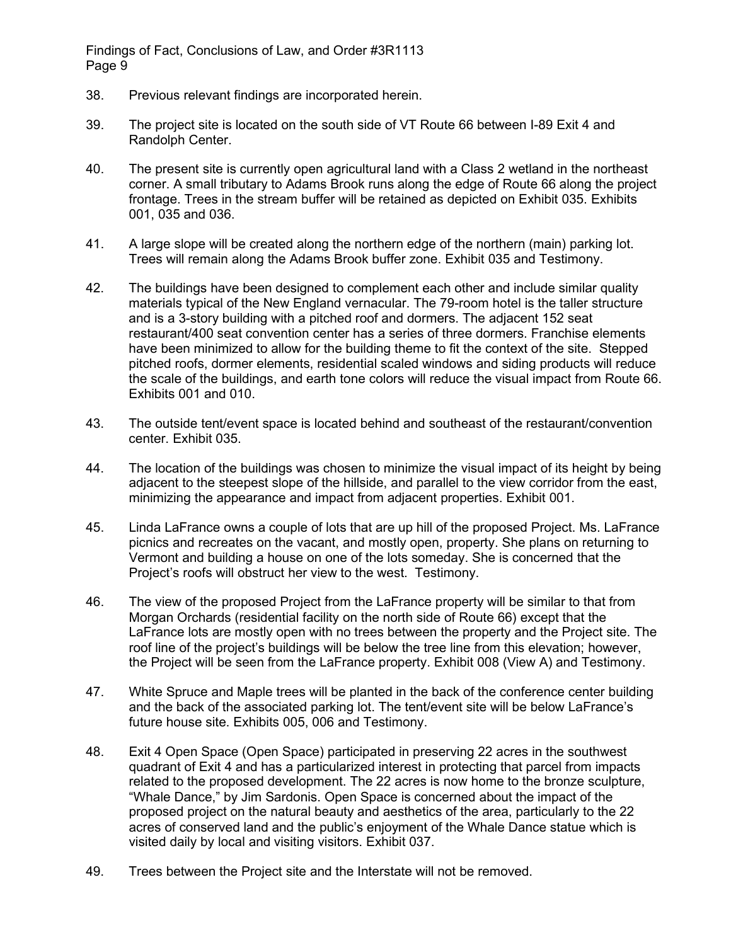- 38. Previous relevant findings are incorporated herein.
- 39. The project site is located on the south side of VT Route 66 between I-89 Exit 4 and Randolph Center.
- 40. The present site is currently open agricultural land with a Class 2 wetland in the northeast corner. A small tributary to Adams Brook runs along the edge of Route 66 along the project frontage. Trees in the stream buffer will be retained as depicted on Exhibit 035. Exhibits 001, 035 and 036.
- 41. A large slope will be created along the northern edge of the northern (main) parking lot. Trees will remain along the Adams Brook buffer zone. Exhibit 035 and Testimony.
- 42. The buildings have been designed to complement each other and include similar quality materials typical of the New England vernacular. The 79-room hotel is the taller structure and is a 3-story building with a pitched roof and dormers. The adjacent 152 seat restaurant/400 seat convention center has a series of three dormers. Franchise elements have been minimized to allow for the building theme to fit the context of the site. Stepped pitched roofs, dormer elements, residential scaled windows and siding products will reduce the scale of the buildings, and earth tone colors will reduce the visual impact from Route 66. Exhibits 001 and 010.
- 43. The outside tent/event space is located behind and southeast of the restaurant/convention center. Exhibit 035.
- 44. The location of the buildings was chosen to minimize the visual impact of its height by being adjacent to the steepest slope of the hillside, and parallel to the view corridor from the east, minimizing the appearance and impact from adjacent properties. Exhibit 001.
- 45. Linda LaFrance owns a couple of lots that are up hill of the proposed Project. Ms. LaFrance picnics and recreates on the vacant, and mostly open, property. She plans on returning to Vermont and building a house on one of the lots someday. She is concerned that the Project's roofs will obstruct her view to the west. Testimony.
- 46. The view of the proposed Project from the LaFrance property will be similar to that from Morgan Orchards (residential facility on the north side of Route 66) except that the LaFrance lots are mostly open with no trees between the property and the Project site. The roof line of the project's buildings will be below the tree line from this elevation; however, the Project will be seen from the LaFrance property. Exhibit 008 (View A) and Testimony.
- 47. White Spruce and Maple trees will be planted in the back of the conference center building and the back of the associated parking lot. The tent/event site will be below LaFrance's future house site. Exhibits 005, 006 and Testimony.
- 48. Exit 4 Open Space (Open Space) participated in preserving 22 acres in the southwest quadrant of Exit 4 and has a particularized interest in protecting that parcel from impacts related to the proposed development. The 22 acres is now home to the bronze sculpture, "Whale Dance," by Jim Sardonis. Open Space is concerned about the impact of the proposed project on the natural beauty and aesthetics of the area, particularly to the 22 acres of conserved land and the public's enjoyment of the Whale Dance statue which is visited daily by local and visiting visitors. Exhibit 037.
- 49. Trees between the Project site and the Interstate will not be removed.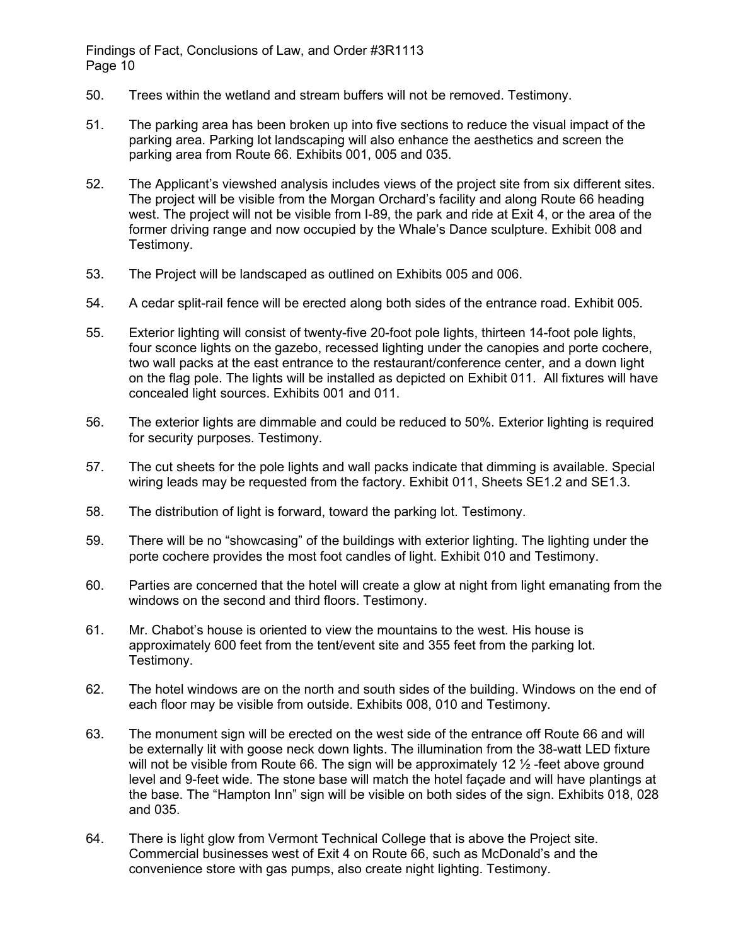- 50. Trees within the wetland and stream buffers will not be removed. Testimony.
- 51. The parking area has been broken up into five sections to reduce the visual impact of the parking area. Parking lot landscaping will also enhance the aesthetics and screen the parking area from Route 66. Exhibits 001, 005 and 035.
- 52. The Applicant's viewshed analysis includes views of the project site from six different sites. The project will be visible from the Morgan Orchard's facility and along Route 66 heading west. The project will not be visible from I-89, the park and ride at Exit 4, or the area of the former driving range and now occupied by the Whale's Dance sculpture. Exhibit 008 and Testimony.
- 53. The Project will be landscaped as outlined on Exhibits 005 and 006.
- 54. A cedar split-rail fence will be erected along both sides of the entrance road. Exhibit 005.
- 55. Exterior lighting will consist of twenty-five 20-foot pole lights, thirteen 14-foot pole lights, four sconce lights on the gazebo, recessed lighting under the canopies and porte cochere, two wall packs at the east entrance to the restaurant/conference center, and a down light on the flag pole. The lights will be installed as depicted on Exhibit 011. All fixtures will have concealed light sources. Exhibits 001 and 011.
- 56. The exterior lights are dimmable and could be reduced to 50%. Exterior lighting is required for security purposes. Testimony.
- 57. The cut sheets for the pole lights and wall packs indicate that dimming is available. Special wiring leads may be requested from the factory. Exhibit 011, Sheets SE1.2 and SE1.3.
- 58. The distribution of light is forward, toward the parking lot. Testimony.
- 59. There will be no "showcasing" of the buildings with exterior lighting. The lighting under the porte cochere provides the most foot candles of light. Exhibit 010 and Testimony.
- 60. Parties are concerned that the hotel will create a glow at night from light emanating from the windows on the second and third floors. Testimony.
- 61. Mr. Chabot's house is oriented to view the mountains to the west. His house is approximately 600 feet from the tent/event site and 355 feet from the parking lot. Testimony.
- 62. The hotel windows are on the north and south sides of the building. Windows on the end of each floor may be visible from outside. Exhibits 008, 010 and Testimony.
- 63. The monument sign will be erected on the west side of the entrance off Route 66 and will be externally lit with goose neck down lights. The illumination from the 38-watt LED fixture will not be visible from Route 66. The sign will be approximately 12  $\frac{1}{2}$ -feet above ground level and 9-feet wide. The stone base will match the hotel façade and will have plantings at the base. The "Hampton Inn" sign will be visible on both sides of the sign. Exhibits 018, 028 and 035.
- 64. There is light glow from Vermont Technical College that is above the Project site. Commercial businesses west of Exit 4 on Route 66, such as McDonald's and the convenience store with gas pumps, also create night lighting. Testimony.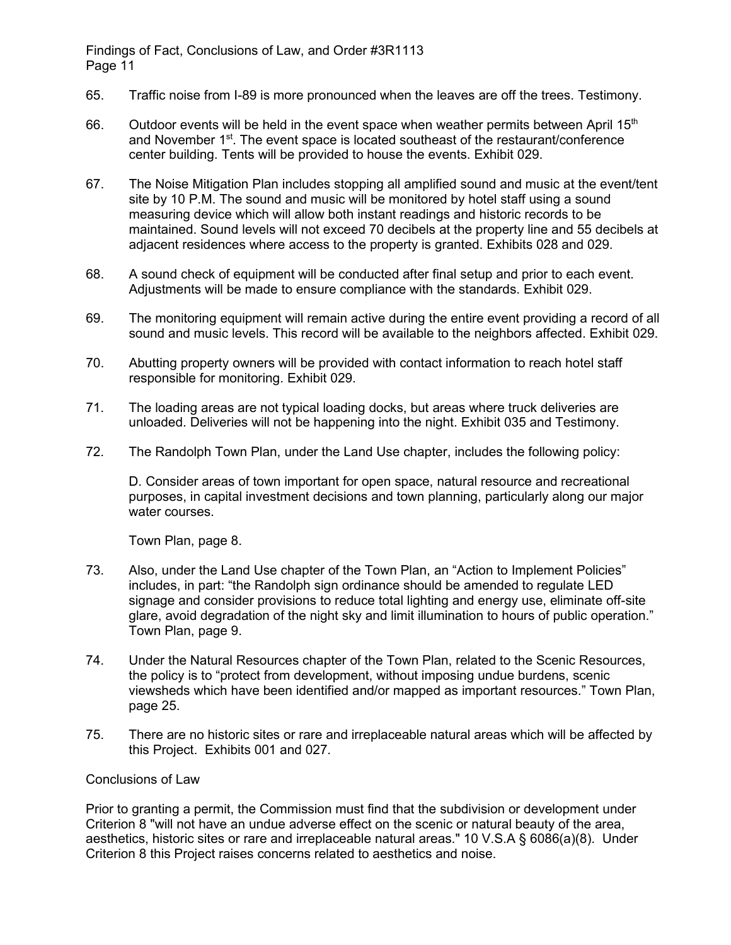- 65. Traffic noise from I-89 is more pronounced when the leaves are off the trees. Testimony.
- 66. Outdoor events will be held in the event space when weather permits between April 15<sup>th</sup> and November  $1<sup>st</sup>$ . The event space is located southeast of the restaurant/conference center building. Tents will be provided to house the events. Exhibit 029.
- 67. The Noise Mitigation Plan includes stopping all amplified sound and music at the event/tent site by 10 P.M. The sound and music will be monitored by hotel staff using a sound measuring device which will allow both instant readings and historic records to be maintained. Sound levels will not exceed 70 decibels at the property line and 55 decibels at adjacent residences where access to the property is granted. Exhibits 028 and 029.
- 68. A sound check of equipment will be conducted after final setup and prior to each event. Adjustments will be made to ensure compliance with the standards. Exhibit 029.
- 69. The monitoring equipment will remain active during the entire event providing a record of all sound and music levels. This record will be available to the neighbors affected. Exhibit 029.
- 70. Abutting property owners will be provided with contact information to reach hotel staff responsible for monitoring. Exhibit 029.
- 71. The loading areas are not typical loading docks, but areas where truck deliveries are unloaded. Deliveries will not be happening into the night. Exhibit 035 and Testimony.
- 72. The Randolph Town Plan, under the Land Use chapter, includes the following policy:

D. Consider areas of town important for open space, natural resource and recreational purposes, in capital investment decisions and town planning, particularly along our major water courses.

Town Plan, page 8.

- 73. Also, under the Land Use chapter of the Town Plan, an "Action to Implement Policies" includes, in part: "the Randolph sign ordinance should be amended to regulate LED signage and consider provisions to reduce total lighting and energy use, eliminate off-site glare, avoid degradation of the night sky and limit illumination to hours of public operation." Town Plan, page 9.
- 74. Under the Natural Resources chapter of the Town Plan, related to the Scenic Resources, the policy is to "protect from development, without imposing undue burdens, scenic viewsheds which have been identified and/or mapped as important resources." Town Plan, page 25.
- 75. There are no historic sites or rare and irreplaceable natural areas which will be affected by this Project. Exhibits 001 and 027.

#### Conclusions of Law

Prior to granting a permit, the Commission must find that the subdivision or development under Criterion 8 "will not have an undue adverse effect on the scenic or natural beauty of the area, aesthetics, historic sites or rare and irreplaceable natural areas." 10 V.S.A § 6086(a)(8). Under Criterion 8 this Project raises concerns related to aesthetics and noise.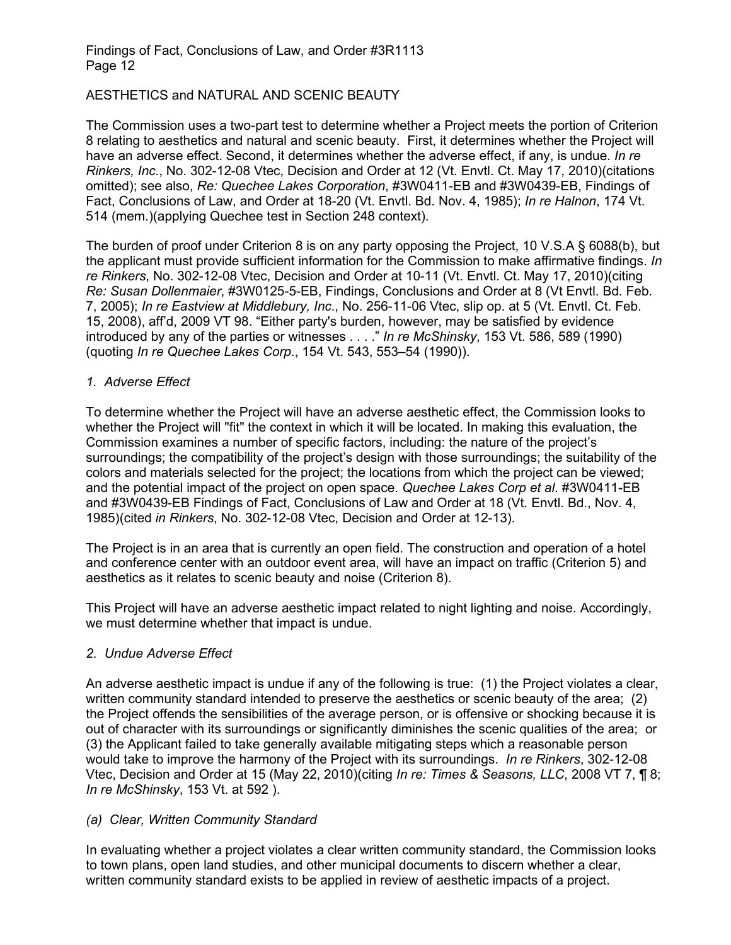# AESTHETICS and NATURAL AND SCENIC BEAUTY

The Commission uses a two-part test to determine whether a Project meets the portion of Criterion 8 relating to aesthetics and natural and scenic beauty. First, it determines whether the Project will have an adverse effect. Second, it determines whether the adverse effect, if any, is undue. *In re Rinkers, Inc*., No. 302-12-08 Vtec, Decision and Order at 12 (Vt. Envtl. Ct. May 17, 2010)(citations omitted); see also, *Re: Quechee Lakes Corporation*, #3W0411-EB and #3W0439-EB, Findings of Fact, Conclusions of Law, and Order at 18-20 (Vt. Envtl. Bd. Nov. 4, 1985); *In re Halnon*, 174 Vt. 514 (mem.)(applying Quechee test in Section 248 context).

The burden of proof under Criterion 8 is on any party opposing the Project, 10 V.S.A § 6088(b), but the applicant must provide sufficient information for the Commission to make affirmative findings. *In re Rinkers*, No. 302-12-08 Vtec, Decision and Order at 10-11 (Vt. Envtl. Ct. May 17, 2010)(citing *Re: Susan Dollenmaier*, #3W0125-5-EB, Findings, Conclusions and Order at 8 (Vt Envtl. Bd. Feb. 7, 2005); *In re Eastview at Middlebury, Inc*., No. 256-11-06 Vtec, slip op. at 5 (Vt. Envtl. Ct. Feb. 15, 2008), aff'd, 2009 VT 98. "Either party's burden, however, may be satisfied by evidence introduced by any of the parties or witnesses . . . ." *In re McShinsky*, 153 Vt. 586, 589 (1990) (quoting *In re Quechee Lakes Corp*., 154 Vt. 543, 553–54 (1990)).

## *1. Adverse Effect*

To determine whether the Project will have an adverse aesthetic effect, the Commission looks to whether the Project will "fit" the context in which it will be located. In making this evaluation, the Commission examines a number of specific factors, including: the nature of the project's surroundings; the compatibility of the project's design with those surroundings; the suitability of the colors and materials selected for the project; the locations from which the project can be viewed; and the potential impact of the project on open space. *Quechee Lakes Corp et al*. #3W0411-EB and #3W0439-EB Findings of Fact, Conclusions of Law and Order at 18 (Vt. Envtl. Bd., Nov. 4, 1985)(cited *in Rinkers*, No. 302-12-08 Vtec, Decision and Order at 12-13).

The Project is in an area that is currently an open field. The construction and operation of a hotel and conference center with an outdoor event area, will have an impact on traffic (Criterion 5) and aesthetics as it relates to scenic beauty and noise (Criterion 8).

This Project will have an adverse aesthetic impact related to night lighting and noise. Accordingly, we must determine whether that impact is undue.

# *2. Undue Adverse Effect*

An adverse aesthetic impact is undue if any of the following is true: (1) the Project violates a clear, written community standard intended to preserve the aesthetics or scenic beauty of the area; (2) the Project offends the sensibilities of the average person, or is offensive or shocking because it is out of character with its surroundings or significantly diminishes the scenic qualities of the area; or (3) the Applicant failed to take generally available mitigating steps which a reasonable person would take to improve the harmony of the Project with its surroundings. *In re Rinkers*, 302-12-08 Vtec, Decision and Order at 15 (May 22, 2010)(citing *In re: Times & Seasons, LLC*, 2008 VT 7, ¶ 8; *In re McShinsky*, 153 Vt. at 592 ).

# *(a) Clear, Written Community Standard*

In evaluating whether a project violates a clear written community standard, the Commission looks to town plans, open land studies, and other municipal documents to discern whether a clear, written community standard exists to be applied in review of aesthetic impacts of a project.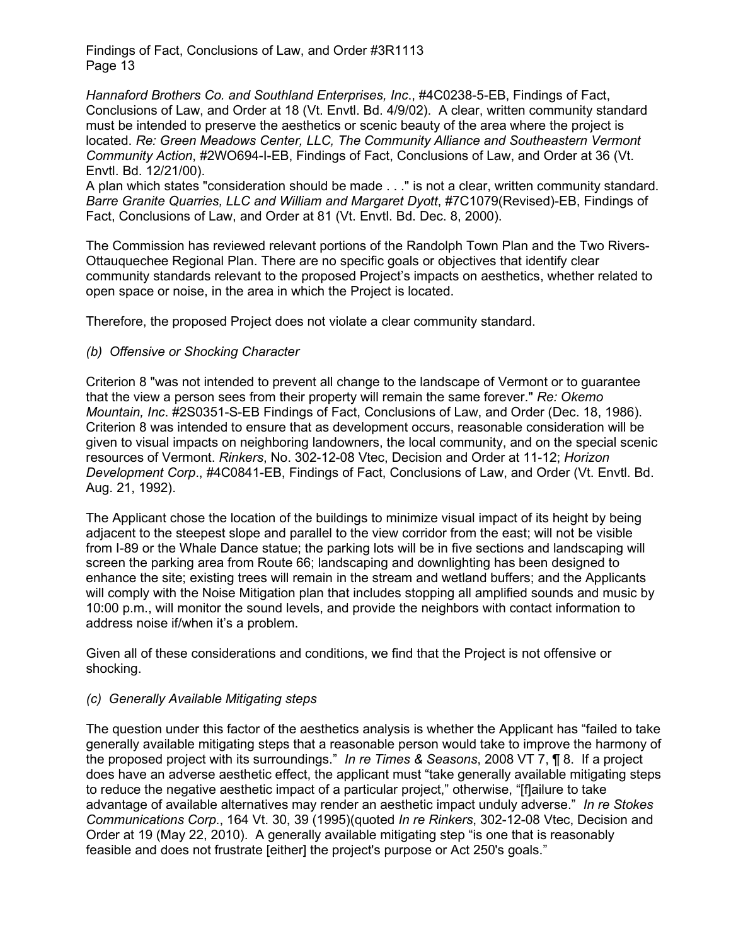*Hannaford Brothers Co. and Southland Enterprises, Inc*., #4C0238-5-EB, Findings of Fact, Conclusions of Law, and Order at 18 (Vt. Envtl. Bd. 4/9/02). A clear, written community standard must be intended to preserve the aesthetics or scenic beauty of the area where the project is located. Re: Green Meadows Center, LLC, The Community Alliance and Southeastern Vermont *Community Action*, #2WO694-I-EB, Findings of Fact, Conclusions of Law, and Order at 36 (Vt. Envtl. Bd. 12/21/00).

A plan which states "consideration should be made . . ." is not a clear, written community standard. *Barre Granite Quarries, LLC and William and Margaret Dyott*, #7C1079(Revised)-EB, Findings of Fact, Conclusions of Law, and Order at 81 (Vt. Envtl. Bd. Dec. 8, 2000).

The Commission has reviewed relevant portions of the Randolph Town Plan and the Two Rivers-Ottauquechee Regional Plan. There are no specific goals or objectives that identify clear community standards relevant to the proposed Project's impacts on aesthetics, whether related to open space or noise, in the area in which the Project is located.

Therefore, the proposed Project does not violate a clear community standard.

# *(b) Offensive or Shocking Character*

Criterion 8 "was not intended to prevent all change to the landscape of Vermont or to guarantee that the view a person sees from their property will remain the same forever." *Re: Okemo Mountain, Inc*. #2S0351-S-EB Findings of Fact, Conclusions of Law, and Order (Dec. 18, 1986). Criterion 8 was intended to ensure that as development occurs, reasonable consideration will be given to visual impacts on neighboring landowners, the local community, and on the special scenic resources of Vermont. *Rinkers*, No. 302-12-08 Vtec, Decision and Order at 11-12; *Horizon Development Corp*., #4C0841-EB, Findings of Fact, Conclusions of Law, and Order (Vt. Envtl. Bd. Aug. 21, 1992).

The Applicant chose the location of the buildings to minimize visual impact of its height by being adjacent to the steepest slope and parallel to the view corridor from the east; will not be visible from I-89 or the Whale Dance statue; the parking lots will be in five sections and landscaping will screen the parking area from Route 66; landscaping and downlighting has been designed to enhance the site; existing trees will remain in the stream and wetland buffers; and the Applicants will comply with the Noise Mitigation plan that includes stopping all amplified sounds and music by 10:00 p.m., will monitor the sound levels, and provide the neighbors with contact information to address noise if/when it's a problem.

Given all of these considerations and conditions, we find that the Project is not offensive or shocking.

# *(c) Generally Available Mitigating steps*

The question under this factor of the aesthetics analysis is whether the Applicant has "failed to take generally available mitigating steps that a reasonable person would take to improve the harmony of the proposed project with its surroundings." *In re Times & Seasons*, 2008 VT 7, ¶ 8. If a project does have an adverse aesthetic effect, the applicant must "take generally available mitigating steps to reduce the negative aesthetic impact of a particular project," otherwise, "[f]ailure to take advantage of available alternatives may render an aesthetic impact unduly adverse." *In re Stokes Communications Corp*., 164 Vt. 30, 39 (1995)(quoted *In re Rinkers*, 302-12-08 Vtec, Decision and Order at 19 (May 22, 2010). A generally available mitigating step "is one that is reasonably feasible and does not frustrate [either] the project's purpose or Act 250's goals."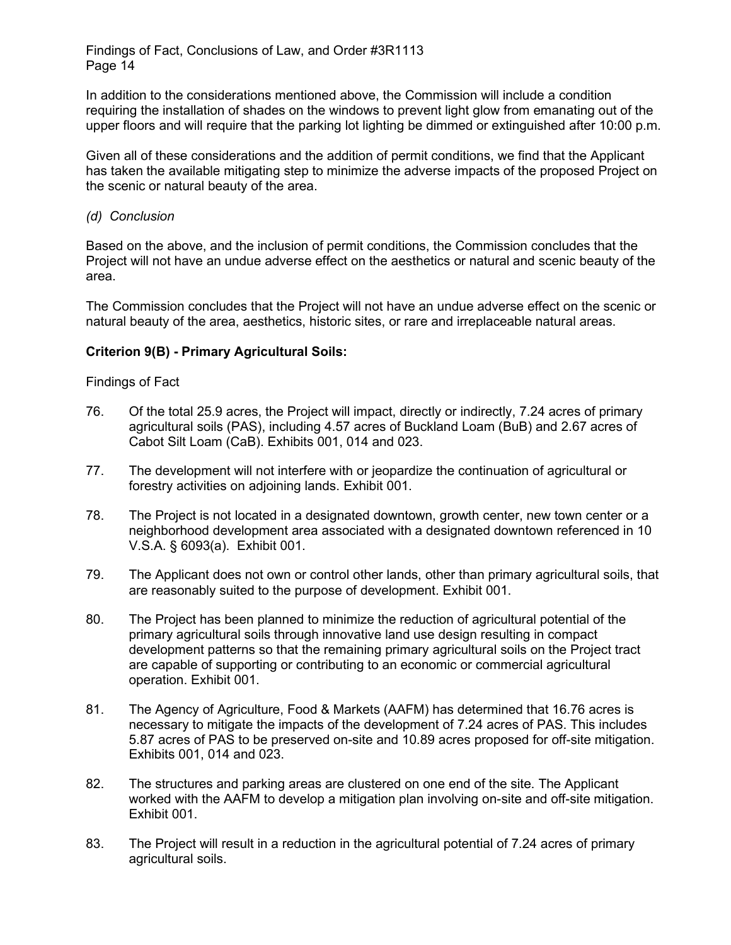In addition to the considerations mentioned above, the Commission will include a condition requiring the installation of shades on the windows to prevent light glow from emanating out of the upper floors and will require that the parking lot lighting be dimmed or extinguished after 10:00 p.m.

Given all of these considerations and the addition of permit conditions, we find that the Applicant has taken the available mitigating step to minimize the adverse impacts of the proposed Project on the scenic or natural beauty of the area.

*(d) Conclusion*

Based on the above, and the inclusion of permit conditions, the Commission concludes that the Project will not have an undue adverse effect on the aesthetics or natural and scenic beauty of the area.

The Commission concludes that the Project will not have an undue adverse effect on the scenic or natural beauty of the area, aesthetics, historic sites, or rare and irreplaceable natural areas.

# **Criterion 9(B) - Primary Agricultural Soils:**

## Findings of Fact

- 76. Of the total 25.9 acres, the Project will impact, directly or indirectly, 7.24 acres of primary agricultural soils (PAS), including 4.57 acres of Buckland Loam (BuB) and 2.67 acres of Cabot Silt Loam (CaB). Exhibits 001, 014 and 023.
- 77. The development will not interfere with or jeopardize the continuation of agricultural or forestry activities on adjoining lands. Exhibit 001.
- 78. The Project is not located in a designated downtown, growth center, new town center or a neighborhood development area associated with a designated downtown referenced in 10 V.S.A. § 6093(a). Exhibit 001.
- 79. The Applicant does not own or control other lands, other than primary agricultural soils, that are reasonably suited to the purpose of development. Exhibit 001.
- 80. The Project has been planned to minimize the reduction of agricultural potential of the primary agricultural soils through innovative land use design resulting in compact development patterns so that the remaining primary agricultural soils on the Project tract are capable of supporting or contributing to an economic or commercial agricultural operation. Exhibit 001.
- 81. The Agency of Agriculture, Food & Markets (AAFM) has determined that 16.76 acres is necessary to mitigate the impacts of the development of 7.24 acres of PAS. This includes 5.87 acres of PAS to be preserved on-site and 10.89 acres proposed for off-site mitigation. Exhibits 001, 014 and 023.
- 82. The structures and parking areas are clustered on one end of the site. The Applicant worked with the AAFM to develop a mitigation plan involving on-site and off-site mitigation. Exhibit 001.
- 83. The Project will result in a reduction in the agricultural potential of 7.24 acres of primary agricultural soils.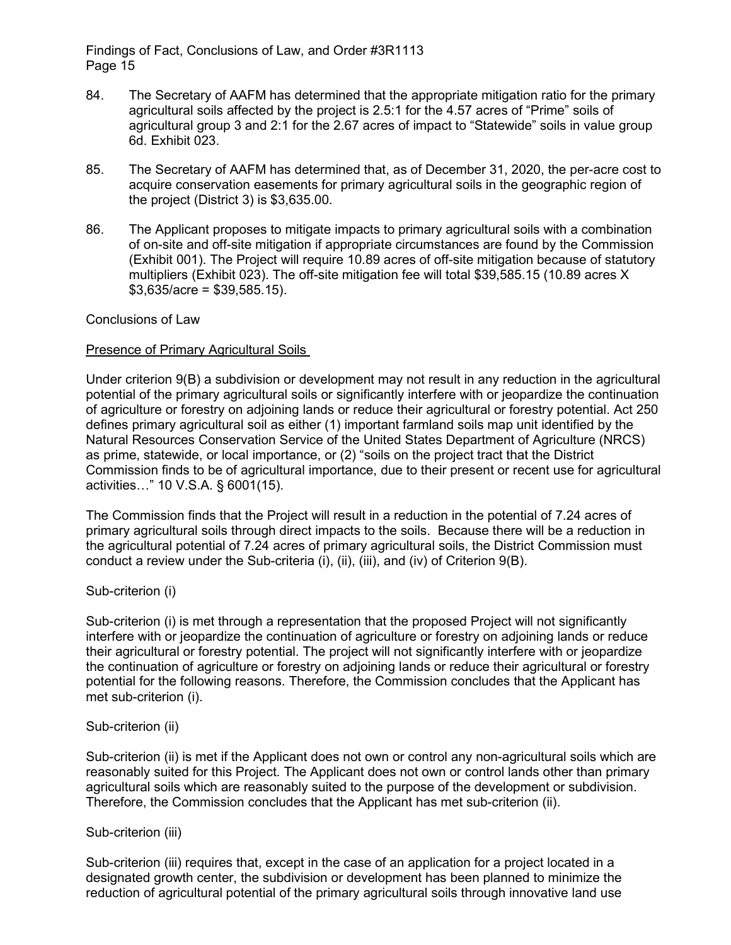- 84. The Secretary of AAFM has determined that the appropriate mitigation ratio for the primary agricultural soils affected by the project is 2.5:1 for the 4.57 acres of "Prime" soils of agricultural group 3 and 2:1 for the 2.67 acres of impact to "Statewide" soils in value group 6d. Exhibit 023.
- 85. The Secretary of AAFM has determined that, as of December 31, 2020, the per-acre cost to acquire conservation easements for primary agricultural soils in the geographic region of the project (District 3) is \$3,635.00.
- 86. The Applicant proposes to mitigate impacts to primary agricultural soils with a combination of on-site and off-site mitigation if appropriate circumstances are found by the Commission (Exhibit 001). The Project will require 10.89 acres of off-site mitigation because of statutory multipliers (Exhibit 023). The off-site mitigation fee will total \$39,585.15 (10.89 acres X  $$3,635/acre = $39,585.15$ .

Conclusions of Law

## Presence of Primary Agricultural Soils

Under criterion 9(B) a subdivision or development may not result in any reduction in the agricultural potential of the primary agricultural soils or significantly interfere with or jeopardize the continuation of agriculture or forestry on adjoining lands or reduce their agricultural or forestry potential. Act 250 defines primary agricultural soil as either (1) important farmland soils map unit identified by the Natural Resources Conservation Service of the United States Department of Agriculture (NRCS) as prime, statewide, or local importance, or (2) "soils on the project tract that the District Commission finds to be of agricultural importance, due to their present or recent use for agricultural activities…" 10 V.S.A. § 6001(15).

The Commission finds that the Project will result in a reduction in the potential of 7.24 acres of primary agricultural soils through direct impacts to the soils. Because there will be a reduction in the agricultural potential of 7.24 acres of primary agricultural soils, the District Commission must conduct a review under the Sub-criteria (i), (ii), (iii), and (iv) of Criterion 9(B).

Sub-criterion (i)

Sub-criterion (i) is met through a representation that the proposed Project will not significantly interfere with or jeopardize the continuation of agriculture or forestry on adjoining lands or reduce their agricultural or forestry potential. The project will not significantly interfere with or jeopardize the continuation of agriculture or forestry on adjoining lands or reduce their agricultural or forestry potential for the following reasons. Therefore, the Commission concludes that the Applicant has met sub-criterion (i).

#### Sub-criterion (ii)

Sub-criterion (ii) is met if the Applicant does not own or control any non-agricultural soils which are reasonably suited for this Project. The Applicant does not own or control lands other than primary agricultural soils which are reasonably suited to the purpose of the development or subdivision. Therefore, the Commission concludes that the Applicant has met sub-criterion (ii).

Sub-criterion (iii)

Sub-criterion (iii) requires that, except in the case of an application for a project located in a designated growth center, the subdivision or development has been planned to minimize the reduction of agricultural potential of the primary agricultural soils through innovative land use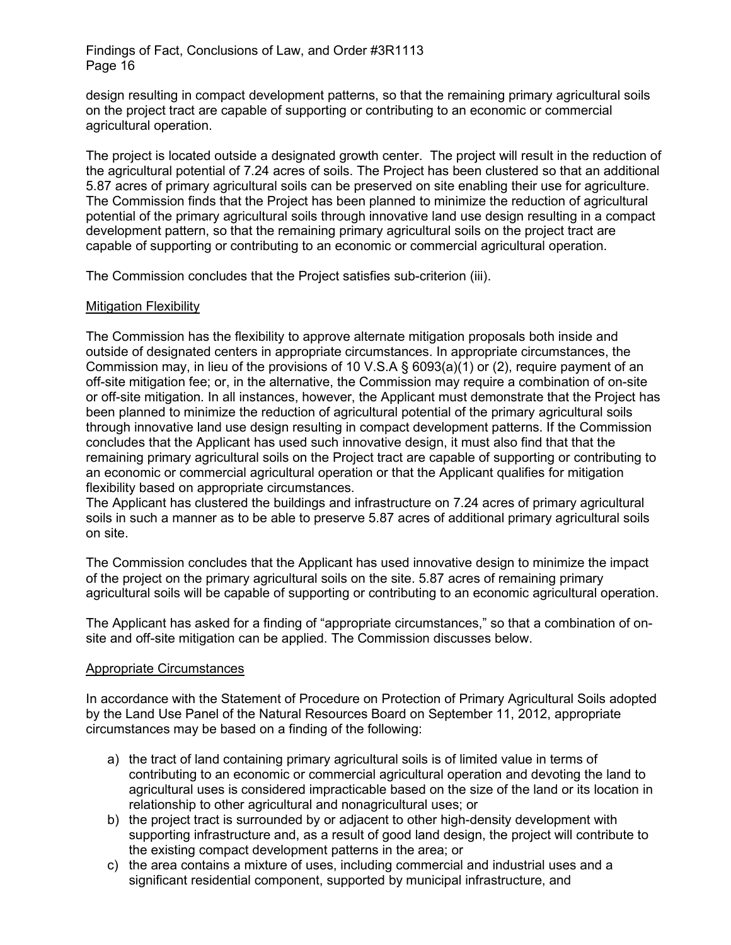design resulting in compact development patterns, so that the remaining primary agricultural soils on the project tract are capable of supporting or contributing to an economic or commercial agricultural operation.

The project is located outside a designated growth center. The project will result in the reduction of the agricultural potential of 7.24 acres of soils. The Project has been clustered so that an additional 5.87 acres of primary agricultural soils can be preserved on site enabling their use for agriculture. The Commission finds that the Project has been planned to minimize the reduction of agricultural potential of the primary agricultural soils through innovative land use design resulting in a compact development pattern, so that the remaining primary agricultural soils on the project tract are capable of supporting or contributing to an economic or commercial agricultural operation.

The Commission concludes that the Project satisfies sub-criterion (iii).

# Mitigation Flexibility

The Commission has the flexibility to approve alternate mitigation proposals both inside and outside of designated centers in appropriate circumstances. In appropriate circumstances, the Commission may, in lieu of the provisions of 10 V.S.A § 6093(a)(1) or (2), require payment of an off-site mitigation fee; or, in the alternative, the Commission may require a combination of on-site or off-site mitigation. In all instances, however, the Applicant must demonstrate that the Project has been planned to minimize the reduction of agricultural potential of the primary agricultural soils through innovative land use design resulting in compact development patterns. If the Commission concludes that the Applicant has used such innovative design, it must also find that that the remaining primary agricultural soils on the Project tract are capable of supporting or contributing to an economic or commercial agricultural operation or that the Applicant qualifies for mitigation flexibility based on appropriate circumstances.

The Applicant has clustered the buildings and infrastructure on 7.24 acres of primary agricultural soils in such a manner as to be able to preserve 5.87 acres of additional primary agricultural soils on site.

The Commission concludes that the Applicant has used innovative design to minimize the impact of the project on the primary agricultural soils on the site. 5.87 acres of remaining primary agricultural soils will be capable of supporting or contributing to an economic agricultural operation.

The Applicant has asked for a finding of "appropriate circumstances," so that a combination of onsite and off-site mitigation can be applied. The Commission discusses below.

#### Appropriate Circumstances

In accordance with the Statement of Procedure on Protection of Primary Agricultural Soils adopted by the Land Use Panel of the Natural Resources Board on September 11, 2012, appropriate circumstances may be based on a finding of the following:

- a) the tract of land containing primary agricultural soils is of limited value in terms of contributing to an economic or commercial agricultural operation and devoting the land to agricultural uses is considered impracticable based on the size of the land or its location in relationship to other agricultural and nonagricultural uses; or
- b) the project tract is surrounded by or adjacent to other high-density development with supporting infrastructure and, as a result of good land design, the project will contribute to the existing compact development patterns in the area; or
- c) the area contains a mixture of uses, including commercial and industrial uses and a significant residential component, supported by municipal infrastructure, and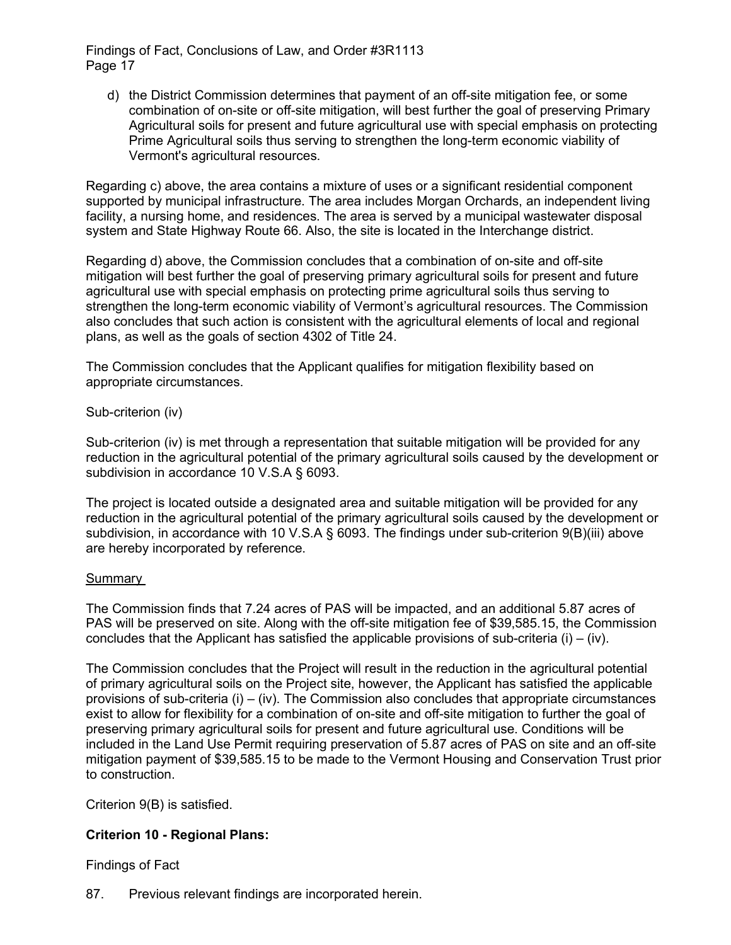d) the District Commission determines that payment of an off-site mitigation fee, or some combination of on-site or off-site mitigation, will best further the goal of preserving Primary Agricultural soils for present and future agricultural use with special emphasis on protecting Prime Agricultural soils thus serving to strengthen the long-term economic viability of Vermont's agricultural resources.

Regarding c) above, the area contains a mixture of uses or a significant residential component supported by municipal infrastructure. The area includes Morgan Orchards, an independent living facility, a nursing home, and residences. The area is served by a municipal wastewater disposal system and State Highway Route 66. Also, the site is located in the Interchange district.

Regarding d) above, the Commission concludes that a combination of on-site and off-site mitigation will best further the goal of preserving primary agricultural soils for present and future agricultural use with special emphasis on protecting prime agricultural soils thus serving to strengthen the long-term economic viability of Vermont's agricultural resources. The Commission also concludes that such action is consistent with the agricultural elements of local and regional plans, as well as the goals of section 4302 of Title 24.

The Commission concludes that the Applicant qualifies for mitigation flexibility based on appropriate circumstances.

# Sub-criterion (iv)

Sub-criterion (iv) is met through a representation that suitable mitigation will be provided for any reduction in the agricultural potential of the primary agricultural soils caused by the development or subdivision in accordance 10 V.S.A § 6093.

The project is located outside a designated area and suitable mitigation will be provided for any reduction in the agricultural potential of the primary agricultural soils caused by the development or subdivision, in accordance with 10 V.S.A § 6093. The findings under sub-criterion 9(B)(iii) above are hereby incorporated by reference.

#### Summary

The Commission finds that 7.24 acres of PAS will be impacted, and an additional 5.87 acres of PAS will be preserved on site. Along with the off-site mitigation fee of \$39,585.15, the Commission concludes that the Applicant has satisfied the applicable provisions of sub-criteria  $(i) - (iv)$ .

The Commission concludes that the Project will result in the reduction in the agricultural potential of primary agricultural soils on the Project site, however, the Applicant has satisfied the applicable provisions of sub-criteria  $(i) - (iv)$ . The Commission also concludes that appropriate circumstances exist to allow for flexibility for a combination of on-site and off-site mitigation to further the goal of preserving primary agricultural soils for present and future agricultural use. Conditions will be included in the Land Use Permit requiring preservation of 5.87 acres of PAS on site and an off-site mitigation payment of \$39,585.15 to be made to the Vermont Housing and Conservation Trust prior to construction.

Criterion 9(B) is satisfied.

# **Criterion 10 - Regional Plans:**

Findings of Fact

87. Previous relevant findings are incorporated herein.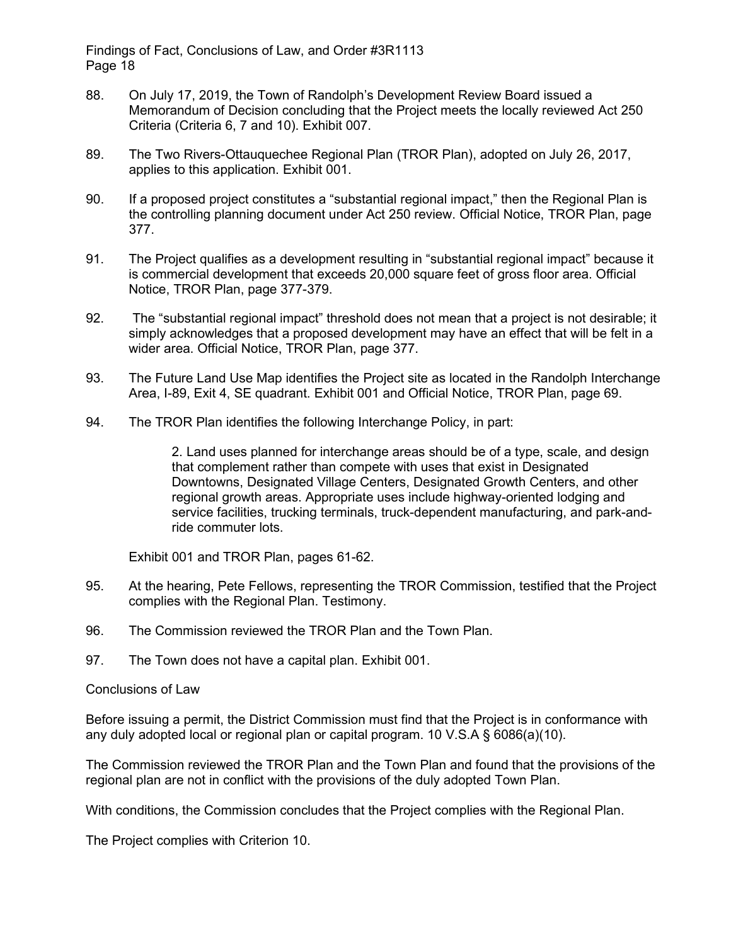- 88. On July 17, 2019, the Town of Randolph's Development Review Board issued a Memorandum of Decision concluding that the Project meets the locally reviewed Act 250 Criteria (Criteria 6, 7 and 10). Exhibit 007.
- 89. The Two Rivers-Ottauquechee Regional Plan (TROR Plan), adopted on July 26, 2017, applies to this application. Exhibit 001.
- 90. If a proposed project constitutes a "substantial regional impact," then the Regional Plan is the controlling planning document under Act 250 review. Official Notice, TROR Plan, page 377.
- 91. The Project qualifies as a development resulting in "substantial regional impact" because it is commercial development that exceeds 20,000 square feet of gross floor area. Official Notice, TROR Plan, page 377-379.
- 92. The "substantial regional impact" threshold does not mean that a project is not desirable; it simply acknowledges that a proposed development may have an effect that will be felt in a wider area. Official Notice, TROR Plan, page 377.
- 93. The Future Land Use Map identifies the Project site as located in the Randolph Interchange Area, I-89, Exit 4, SE quadrant. Exhibit 001 and Official Notice, TROR Plan, page 69.
- 94. The TROR Plan identifies the following Interchange Policy, in part:

2. Land uses planned for interchange areas should be of a type, scale, and design that complement rather than compete with uses that exist in Designated Downtowns, Designated Village Centers, Designated Growth Centers, and other regional growth areas. Appropriate uses include highway-oriented lodging and service facilities, trucking terminals, truck-dependent manufacturing, and park-andride commuter lots.

Exhibit 001 and TROR Plan, pages 61-62.

- 95. At the hearing, Pete Fellows, representing the TROR Commission, testified that the Project complies with the Regional Plan. Testimony.
- 96. The Commission reviewed the TROR Plan and the Town Plan.
- 97. The Town does not have a capital plan. Exhibit 001.

#### Conclusions of Law

Before issuing a permit, the District Commission must find that the Project is in conformance with any duly adopted local or regional plan or capital program. 10 V.S.A  $\S$  6086(a)(10).

The Commission reviewed the TROR Plan and the Town Plan and found that the provisions of the regional plan are not in conflict with the provisions of the duly adopted Town Plan.

With conditions, the Commission concludes that the Project complies with the Regional Plan.

The Project complies with Criterion 10.